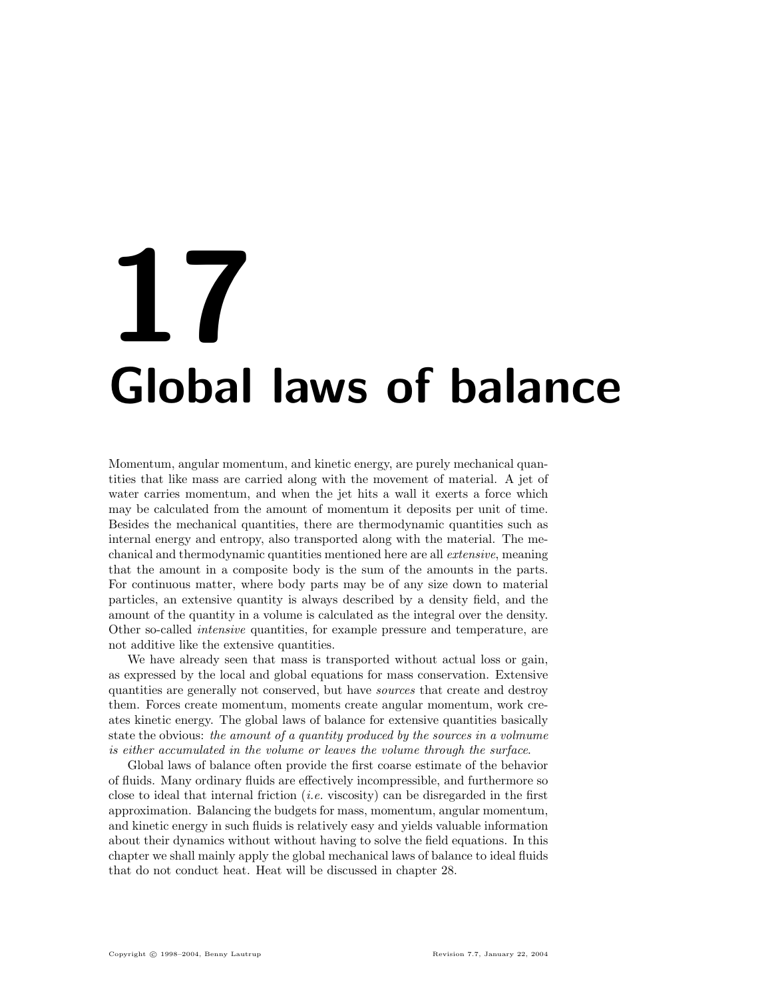# 17 Global laws of balance

Momentum, angular momentum, and kinetic energy, are purely mechanical quantities that like mass are carried along with the movement of material. A jet of water carries momentum, and when the jet hits a wall it exerts a force which may be calculated from the amount of momentum it deposits per unit of time. Besides the mechanical quantities, there are thermodynamic quantities such as internal energy and entropy, also transported along with the material. The mechanical and thermodynamic quantities mentioned here are all extensive, meaning that the amount in a composite body is the sum of the amounts in the parts. For continuous matter, where body parts may be of any size down to material particles, an extensive quantity is always described by a density field, and the amount of the quantity in a volume is calculated as the integral over the density. Other so-called intensive quantities, for example pressure and temperature, are not additive like the extensive quantities.

We have already seen that mass is transported without actual loss or gain, as expressed by the local and global equations for mass conservation. Extensive quantities are generally not conserved, but have sources that create and destroy them. Forces create momentum, moments create angular momentum, work creates kinetic energy. The global laws of balance for extensive quantities basically state the obvious: the amount of a quantity produced by the sources in a volmume is either accumulated in the volume or leaves the volume through the surface.

Global laws of balance often provide the first coarse estimate of the behavior of fluids. Many ordinary fluids are effectively incompressible, and furthermore so close to ideal that internal friction  $(i.e.$  viscosity) can be disregarded in the first approximation. Balancing the budgets for mass, momentum, angular momentum, and kinetic energy in such fluids is relatively easy and yields valuable information about their dynamics without without having to solve the field equations. In this chapter we shall mainly apply the global mechanical laws of balance to ideal fluids that do not conduct heat. Heat will be discussed in chapter 28.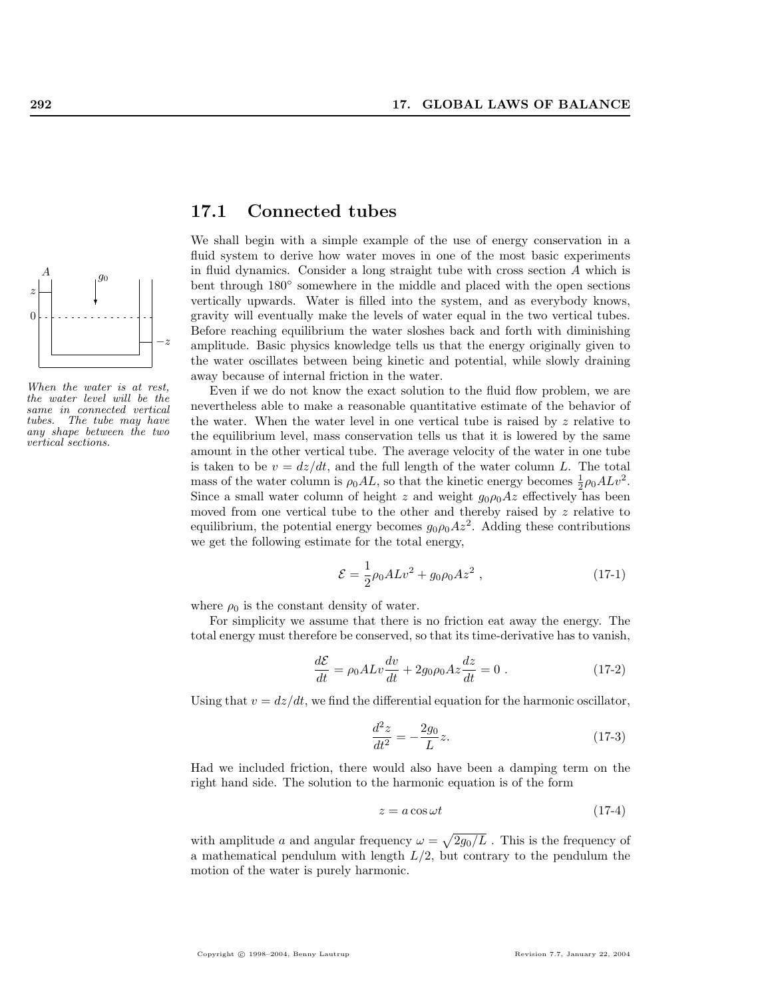

When the water is at rest, the water level will be the same in connected vertical tubes. The tube may have any shape between the two vertical sections.

# 17.1 Connected tubes

We shall begin with a simple example of the use of energy conservation in a fluid system to derive how water moves in one of the most basic experiments in fluid dynamics. Consider a long straight tube with cross section A which is bent through  $180°$  somewhere in the middle and placed with the open sections vertically upwards. Water is filled into the system, and as everybody knows, gravity will eventually make the levels of water equal in the two vertical tubes. Before reaching equilibrium the water sloshes back and forth with diminishing amplitude. Basic physics knowledge tells us that the energy originally given to the water oscillates between being kinetic and potential, while slowly draining away because of internal friction in the water.

Even if we do not know the exact solution to the fluid flow problem, we are nevertheless able to make a reasonable quantitative estimate of the behavior of the water. When the water level in one vertical tube is raised by  $z$  relative to the equilibrium level, mass conservation tells us that it is lowered by the same amount in the other vertical tube. The average velocity of the water in one tube is taken to be  $v = \frac{dz}{dt}$ , and the full length of the water column L. The total mass of the water column is  $\rho_0 AL$ , so that the kinetic energy becomes  $\frac{1}{2}\rho_0 ALv^2$ . Since a small water column of height z and weight  $g_0 \rho_0 Az$  effectively has been moved from one vertical tube to the other and thereby raised by  $z$  relative to equilibrium, the potential energy becomes  $g_0 \rho_0 A z^2$ . Adding these contributions we get the following estimate for the total energy,

$$
\mathcal{E} = \frac{1}{2}\rho_0 A L v^2 + g_0 \rho_0 A z^2 , \qquad (17-1)
$$

where  $\rho_0$  is the constant density of water.

For simplicity we assume that there is no friction eat away the energy. The total energy must therefore be conserved, so that its time-derivative has to vanish,

$$
\frac{d\mathcal{E}}{dt} = \rho_0 A L v \frac{dv}{dt} + 2g_0 \rho_0 A z \frac{dz}{dt} = 0.
$$
 (17-2)

Using that  $v = dz/dt$ , we find the differential equation for the harmonic oscillator,

$$
\frac{d^2z}{dt^2} = -\frac{2g_0}{L}z.\tag{17-3}
$$

Had we included friction, there would also have been a damping term on the right hand side. The solution to the harmonic equation is of the form

$$
z = a\cos\omega t\tag{17-4}
$$

with amplitude a and angular frequency  $\omega =$ p  $2g_0/L$ . This is the frequency of a mathematical pendulum with length  $L/2$ , but contrary to the pendulum the motion of the water is purely harmonic.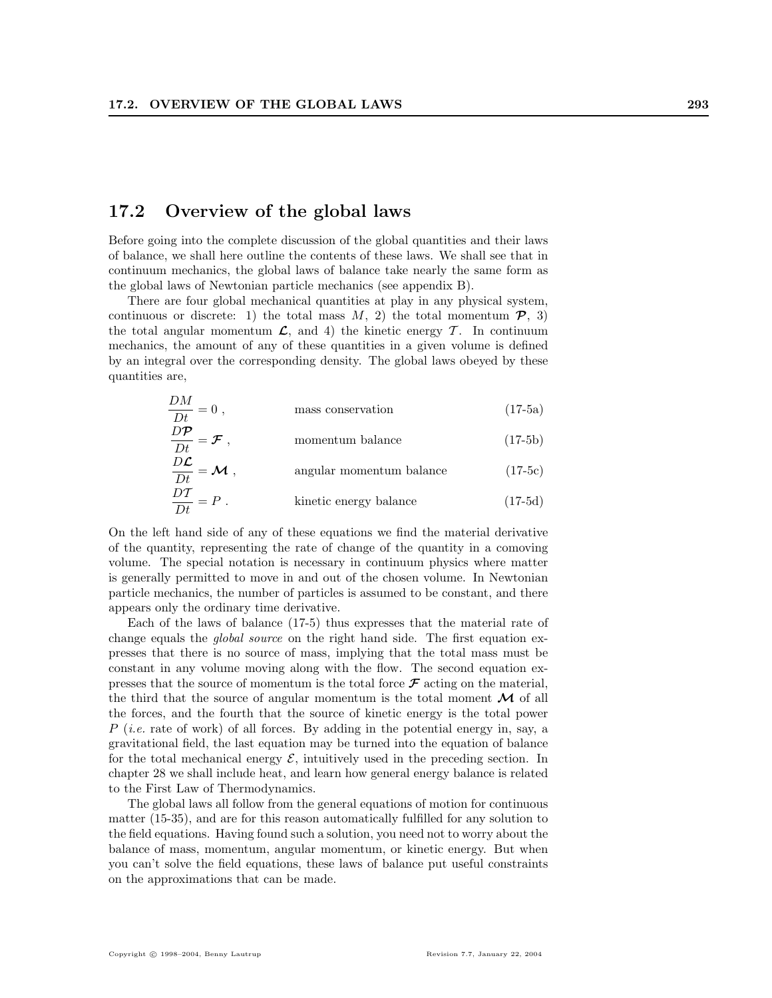# 17.2 Overview of the global laws

 $\sum$ 

Before going into the complete discussion of the global quantities and their laws of balance, we shall here outline the contents of these laws. We shall see that in continuum mechanics, the global laws of balance take nearly the same form as the global laws of Newtonian particle mechanics (see appendix B).

There are four global mechanical quantities at play in any physical system, continuous or discrete: 1) the total mass  $M$ , 2) the total momentum  $\mathcal{P}$ , 3) the total angular momentum  $\mathcal{L}$ , and 4) the kinetic energy  $\mathcal{T}$ . In continuum mechanics, the amount of any of these quantities in a given volume is defined by an integral over the corresponding density. The global laws obeyed by these quantities are,

$$
\frac{DM}{Dt} = 0, \qquad \qquad \text{mass conservation} \tag{17-5a}
$$

$$
\frac{D\mathcal{P}}{Dt} = \mathcal{F} , \qquad \qquad \text{momentum balance} \tag{17-5b}
$$

$$
\frac{DE}{Dt} = \mathcal{M},
$$
 angular momentum balance (17-5c)  

$$
\frac{DT}{Dt} = P.
$$
kinetic energy balance (17-5d)

On the left hand side of any of these equations we find the material derivative of the quantity, representing the rate of change of the quantity in a comoving volume. The special notation is necessary in continuum physics where matter is generally permitted to move in and out of the chosen volume. In Newtonian particle mechanics, the number of particles is assumed to be constant, and there appears only the ordinary time derivative.

Each of the laws of balance (17-5) thus expresses that the material rate of change equals the *global source* on the right hand side. The first equation expresses that there is no source of mass, implying that the total mass must be constant in any volume moving along with the flow. The second equation expresses that the source of momentum is the total force  $\mathcal F$  acting on the material, the third that the source of angular momentum is the total moment  $\mathcal M$  of all the forces, and the fourth that the source of kinetic energy is the total power  $P$  (*i.e.* rate of work) of all forces. By adding in the potential energy in, say, a gravitational field, the last equation may be turned into the equation of balance for the total mechanical energy  $\mathcal{E}$ , intuitively used in the preceding section. In chapter 28 we shall include heat, and learn how general energy balance is related to the First Law of Thermodynamics.

The global laws all follow from the general equations of motion for continuous matter (15-35), and are for this reason automatically fulfilled for any solution to the field equations. Having found such a solution, you need not to worry about the balance of mass, momentum, angular momentum, or kinetic energy. But when you can't solve the field equations, these laws of balance put useful constraints on the approximations that can be made.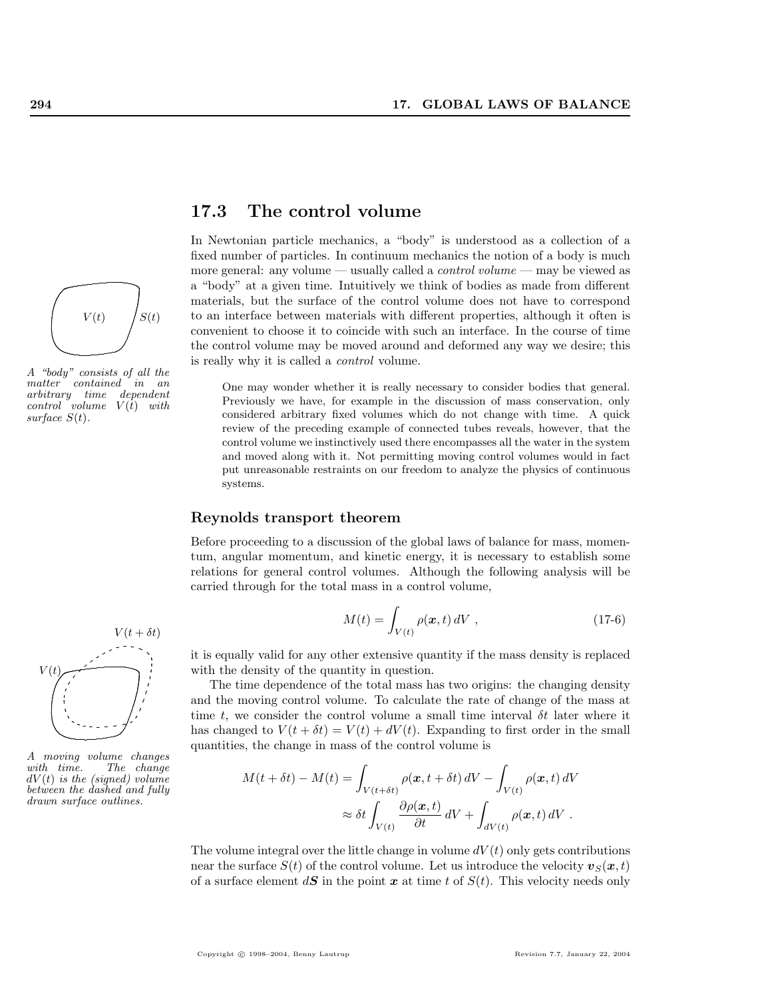

A "body" consists of all the matter contained in an arbitrary time dependent  $control$  volume  $V(t)$  with surface  $S(t)$ .



A moving volume changes The change  $dV(t)$  is the (signed) volume between the dashed and fully drawn surface outlines.

# 17.3 The control volume

In Newtonian particle mechanics, a "body" is understood as a collection of a fixed number of particles. In continuum mechanics the notion of a body is much more general: any volume — usually called a *control volume* — may be viewed as a "body" at a given time. Intuitively we think of bodies as made from different materials, but the surface of the control volume does not have to correspond to an interface between materials with different properties, although it often is convenient to choose it to coincide with such an interface. In the course of time the control volume may be moved around and deformed any way we desire; this is really why it is called a control volume.

One may wonder whether it is really necessary to consider bodies that general. Previously we have, for example in the discussion of mass conservation, only considered arbitrary fixed volumes which do not change with time. A quick review of the preceding example of connected tubes reveals, however, that the control volume we instinctively used there encompasses all the water in the system and moved along with it. Not permitting moving control volumes would in fact put unreasonable restraints on our freedom to analyze the physics of continuous systems.

## Reynolds transport theorem

Before proceeding to a discussion of the global laws of balance for mass, momentum, angular momentum, and kinetic energy, it is necessary to establish some relations for general control volumes. Although the following analysis will be carried through for the total mass in a control volume,

$$
M(t) = \int_{V(t)} \rho(\boldsymbol{x}, t) dV , \qquad (17-6)
$$

it is equally valid for any other extensive quantity if the mass density is replaced with the density of the quantity in question.

The time dependence of the total mass has two origins: the changing density and the moving control volume. To calculate the rate of change of the mass at time t, we consider the control volume a small time interval  $\delta t$  later where it has changed to  $V(t + \delta t) = V(t) + dV(t)$ . Expanding to first order in the small quantities, the change in mass of the control volume is

$$
M(t + \delta t) - M(t) = \int_{V(t + \delta t)} \rho(\mathbf{x}, t + \delta t) dV - \int_{V(t)} \rho(\mathbf{x}, t) dV
$$

$$
\approx \delta t \int_{V(t)} \frac{\partial \rho(\mathbf{x}, t)}{\partial t} dV + \int_{dV(t)} \rho(\mathbf{x}, t) dV.
$$

The volume integral over the little change in volume  $dV(t)$  only gets contributions near the surface  $S(t)$  of the control volume. Let us introduce the velocity  $v_S(x, t)$ of a surface element  $d\mathbf{S}$  in the point  $\boldsymbol{x}$  at time t of  $S(t)$ . This velocity needs only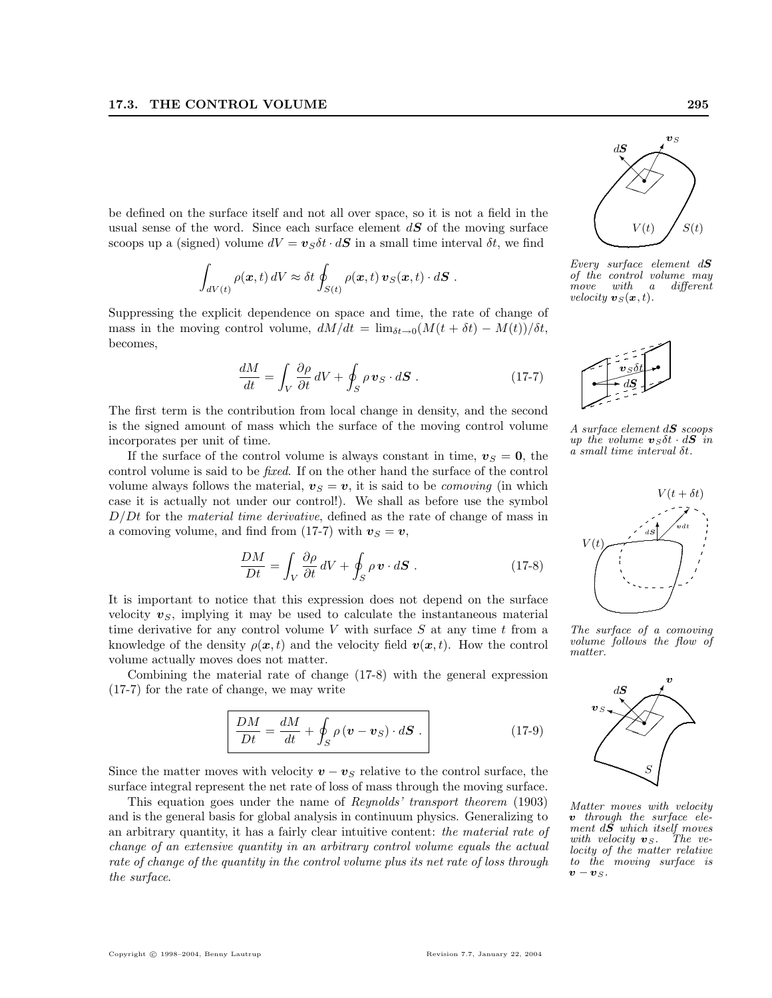be defined on the surface itself and not all over space, so it is not a field in the usual sense of the word. Since each surface element  $d\mathbf{S}$  of the moving surface scoops up a (signed) volume  $dV = v_S \delta t \cdot dS$  in a small time interval  $\delta t$ , we find

$$
\int_{dV(t)} \rho(x,t) dV \approx \delta t \oint_{S(t)} \rho(x,t) \, \mathbf{v}_S(x,t) \cdot d\mathbf{S} .
$$

Suppressing the explicit dependence on space and time, the rate of change of mass in the moving control volume,  $dM/dt = \lim_{\delta t \to 0} (M(t + \delta t) - M(t))/\delta t$ , becomes,

$$
\frac{dM}{dt} = \int_{V} \frac{\partial \rho}{\partial t} dV + \oint_{S} \rho \mathbf{v}_{S} \cdot d\mathbf{S} . \qquad (17-7)
$$

The first term is the contribution from local change in density, and the second is the signed amount of mass which the surface of the moving control volume incorporates per unit of time.

If the surface of the control volume is always constant in time,  $v_S = 0$ , the control volume is said to be fixed. If on the other hand the surface of the control volume always follows the material,  $v_S = v$ , it is said to be *comoving* (in which case it is actually not under our control!). We shall as before use the symbol  $D/Dt$  for the *material time derivative*, defined as the rate of change of mass in a comoving volume, and find from (17-7) with  $v_s = v$ ,

$$
\frac{DM}{Dt} = \int_{V} \frac{\partial \rho}{\partial t} dV + \oint_{S} \rho \mathbf{v} \cdot d\mathbf{S} . \qquad (17-8)
$$

It is important to notice that this expression does not depend on the surface velocity  $v_s$ , implying it may be used to calculate the instantaneous material time derivative for any control volume  $V$  with surface  $S$  at any time  $t$  from a knowledge of the density  $\rho(x, t)$  and the velocity field  $v(x, t)$ . How the control volume actually moves does not matter.

Combining the material rate of change (17-8) with the general expression (17-7) for the rate of change, we may write

$$
\frac{DM}{Dt} = \frac{dM}{dt} + \oint_{S} \rho \left( \mathbf{v} - \mathbf{v}_{S} \right) \cdot d\mathbf{S} \tag{17-9}
$$

Since the matter moves with velocity  $v - v<sub>S</sub>$  relative to the control surface, the surface integral represent the net rate of loss of mass through the moving surface.

This equation goes under the name of Reynolds' transport theorem (1903) and is the general basis for global analysis in continuum physics. Generalizing to an arbitrary quantity, it has a fairly clear intuitive content: the material rate of change of an extensive quantity in an arbitrary control volume equals the actual rate of change of the quantity in the control volume plus its net rate of loss through the surface.



Every surface element  $dS$ of the control volume may<br>move  $with$   $a$  different move with a different velocity  $\mathbf{v}_S(\mathbf{x}, t)$ .



A surface element  $dS$  scoops up the volume  $v_S \delta t \cdot dS$  in a small time interval δt.



The surface of a comoving volume follows the flow of matter.



Matter moves with velocity v through the surface element  $d\tilde{S}$  which itself moves<br>with velocity  $v_S$ . The vewith velocity  $\boldsymbol{v}_S$ . locity of the matter relative to the moving surface is  $\boldsymbol{v} - \boldsymbol{v}_S.$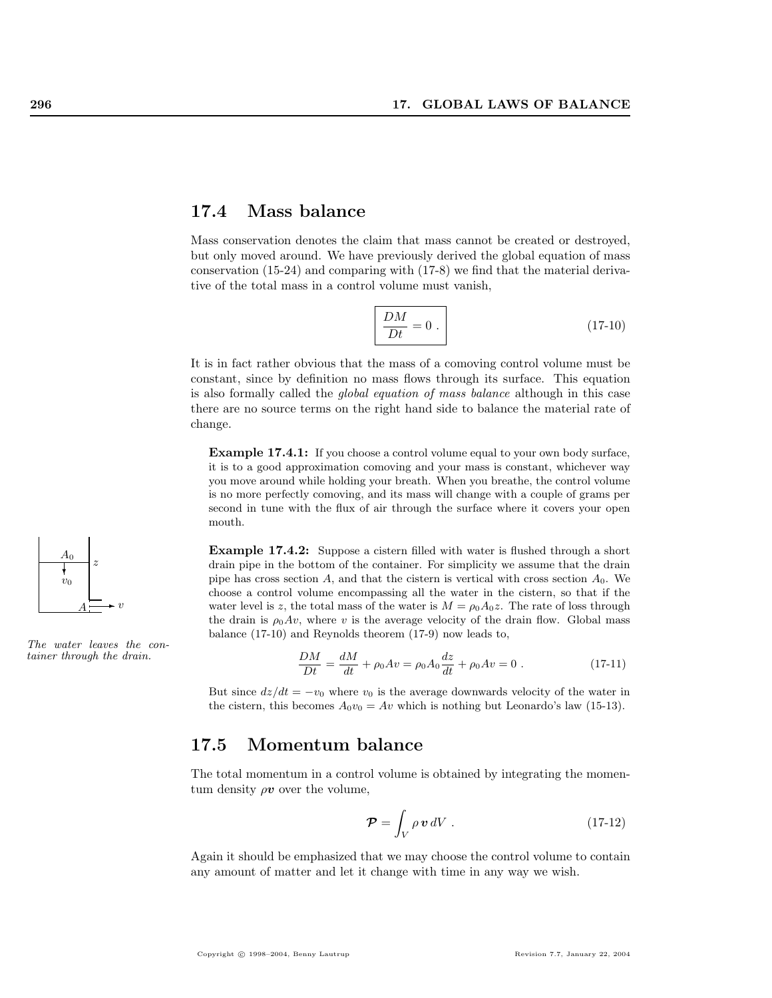# 17.4 Mass balance

Mass conservation denotes the claim that mass cannot be created or destroyed, but only moved around. We have previously derived the global equation of mass conservation (15-24) and comparing with (17-8) we find that the material derivative of the total mass in a control volume must vanish,

$$
\left| \frac{DM}{Dt} = 0 \right| \tag{17-10}
$$

It is in fact rather obvious that the mass of a comoving control volume must be constant, since by definition no mass flows through its surface. This equation is also formally called the global equation of mass balance although in this case there are no source terms on the right hand side to balance the material rate of change.

**Example 17.4.1:** If you choose a control volume equal to your own body surface, it is to a good approximation comoving and your mass is constant, whichever way you move around while holding your breath. When you breathe, the control volume is no more perfectly comoving, and its mass will change with a couple of grams per second in tune with the flux of air through the surface where it covers your open mouth.

Example 17.4.2: Suppose a cistern filled with water is flushed through a short drain pipe in the bottom of the container. For simplicity we assume that the drain pipe has cross section A, and that the cistern is vertical with cross section  $A_0$ . We choose a control volume encompassing all the water in the cistern, so that if the water level is z, the total mass of the water is  $M = \rho_0 A_0 z$ . The rate of loss through the drain is  $\rho_0 A v$ , where v is the average velocity of the drain flow. Global mass balance (17-10) and Reynolds theorem (17-9) now leads to,

$$
\frac{DM}{Dt} = \frac{dM}{dt} + \rho_0 Av = \rho_0 A_0 \frac{dz}{dt} + \rho_0 Av = 0.
$$
 (17-11)

But since  $dz/dt = -v_0$  where  $v_0$  is the average downwards velocity of the water in the cistern, this becomes  $A_0v_0 = Av$  which is nothing but Leonardo's law (15-13).

# 17.5 Momentum balance

The total momentum in a control volume is obtained by integrating the momentum density  $\rho v$  over the volume,

$$
\mathcal{P} = \int_{V} \rho \,\mathbf{v} \,dV \ . \tag{17-12}
$$

Again it should be emphasized that we may choose the control volume to contain any amount of matter and let it change with time in any way we wish.



The water leaves the con $tainer$  through the drain.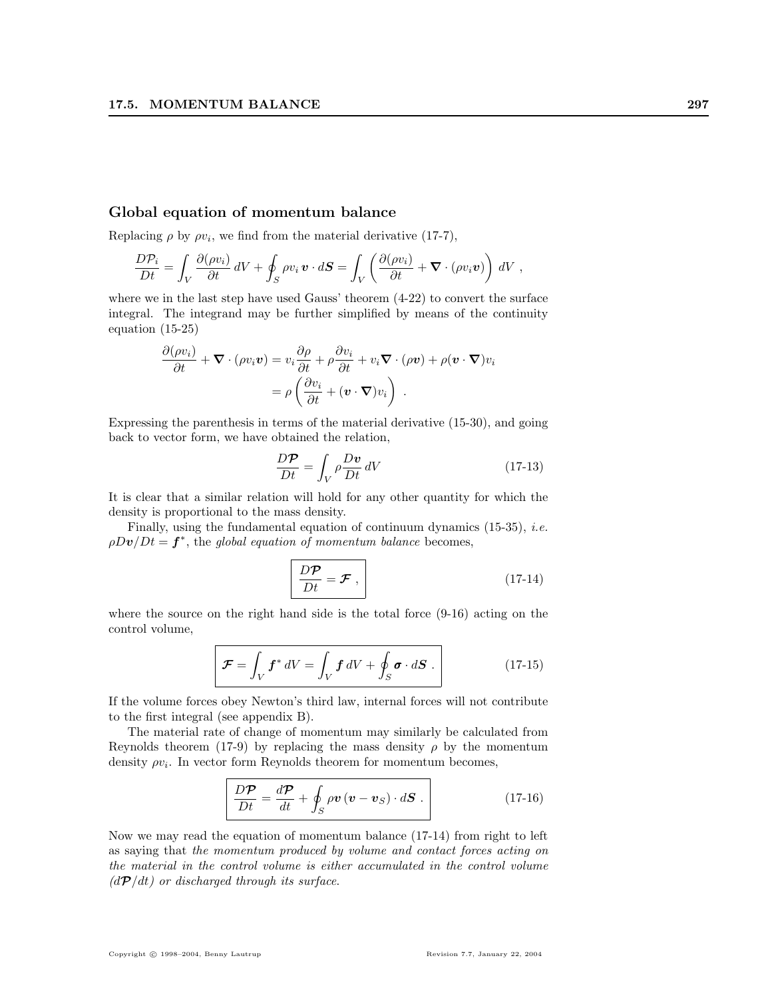## Global equation of momentum balance

Replacing  $\rho$  by  $\rho v_i$ , we find from the material derivative (17-7),

$$
\frac{D\mathcal{P}_i}{Dt} = \int_V \frac{\partial(\rho v_i)}{\partial t} dV + \oint_S \rho v_i \, \boldsymbol{v} \cdot d\boldsymbol{S} = \int_V \left( \frac{\partial(\rho v_i)}{\partial t} + \boldsymbol{\nabla} \cdot (\rho v_i \boldsymbol{v}) \right) dV,
$$

where we in the last step have used Gauss' theorem (4-22) to convert the surface integral. The integrand may be further simplified by means of the continuity equation (15-25)

$$
\frac{\partial(\rho v_i)}{\partial t} + \nabla \cdot (\rho v_i \mathbf{v}) = v_i \frac{\partial \rho}{\partial t} + \rho \frac{\partial v_i}{\partial t} + v_i \nabla \cdot (\rho \mathbf{v}) + \rho (\mathbf{v} \cdot \nabla) v_i
$$

$$
= \rho \left( \frac{\partial v_i}{\partial t} + (\mathbf{v} \cdot \nabla) v_i \right) .
$$

Expressing the parenthesis in terms of the material derivative (15-30), and going back to vector form, we have obtained the relation,

$$
\frac{D\mathcal{P}}{Dt} = \int_{V} \rho \frac{D\mathbf{v}}{Dt} \, dV \tag{17-13}
$$

It is clear that a similar relation will hold for any other quantity for which the density is proportional to the mass density.

Finally, using the fundamental equation of continuum dynamics  $(15-35)$ , *i.e.*  $\rho Dv/Dt = f^*$ , the global equation of momentum balance becomes,

$$
\frac{D\mathcal{P}}{Dt} = \mathcal{F} \,, \tag{17-14}
$$

where the source on the right hand side is the total force (9-16) acting on the control volume,

$$
\mathcal{F} = \int_{V} \mathbf{f}^* dV = \int_{V} \mathbf{f} dV + \oint_{S} \boldsymbol{\sigma} \cdot d\mathbf{S} . \qquad (17-15)
$$

If the volume forces obey Newton's third law, internal forces will not contribute to the first integral (see appendix B).

The material rate of change of momentum may similarly be calculated from Reynolds theorem (17-9) by replacing the mass density  $\rho$  by the momentum density  $\rho v_i$ . In vector form Reynolds theorem for momentum becomes,

$$
\frac{D\mathcal{P}}{Dt} = \frac{d\mathcal{P}}{dt} + \oint_{S} \rho \mathbf{v} (\mathbf{v} - \mathbf{v}_{S}) \cdot d\mathbf{S} . \qquad (17-16)
$$

Now we may read the equation of momentum balance (17-14) from right to left as saying that the momentum produced by volume and contact forces acting on the material in the control volume is either accumulated in the control volume  $(dP/dt)$  or discharged through its surface.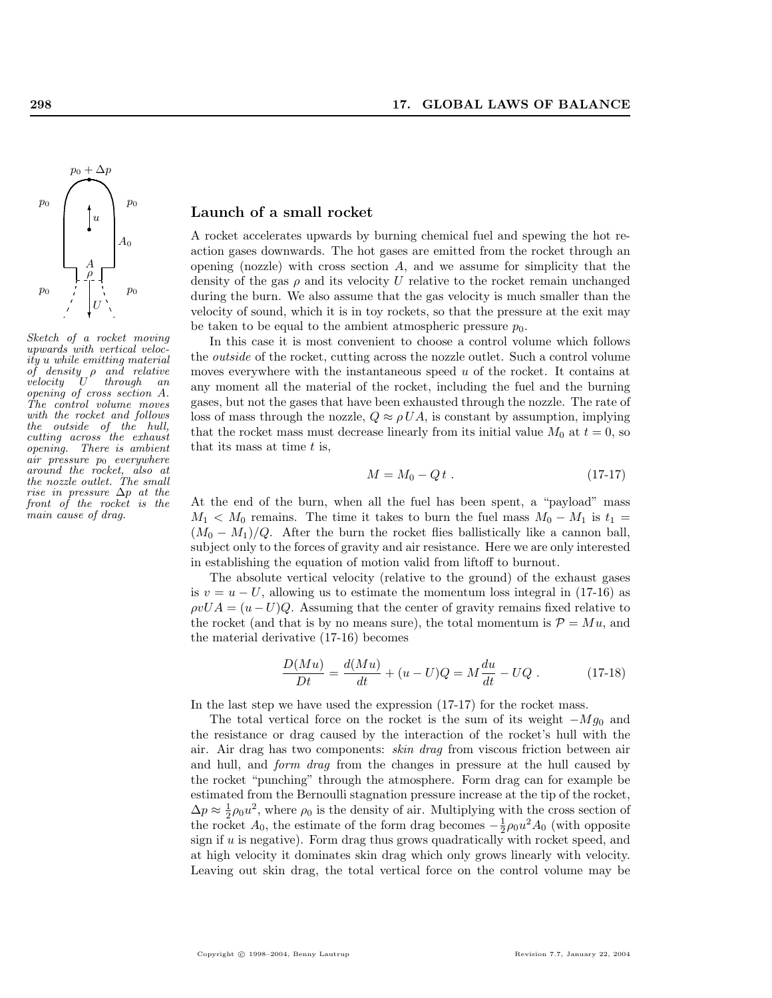

Sketch of a rocket moving upwards with vertical velocity u while emitting material of density ρ and relative velocity U through an opening of cross section A. The control volume moves with the rocket and follows the outside of the hull, cutting across the exhaust opening. There is ambient  $air$  pressure  $p_0$  everywhere around the rocket, also at the nozzle outlet. The small rise in pressure ∆p at the front of the rocket is the main cause of drag.

## Launch of a small rocket

A rocket accelerates upwards by burning chemical fuel and spewing the hot reaction gases downwards. The hot gases are emitted from the rocket through an opening (nozzle) with cross section  $A$ , and we assume for simplicity that the density of the gas  $\rho$  and its velocity U relative to the rocket remain unchanged during the burn. We also assume that the gas velocity is much smaller than the velocity of sound, which it is in toy rockets, so that the pressure at the exit may be taken to be equal to the ambient atmospheric pressure  $p_0$ .

In this case it is most convenient to choose a control volume which follows the outside of the rocket, cutting across the nozzle outlet. Such a control volume moves everywhere with the instantaneous speed  $u$  of the rocket. It contains at any moment all the material of the rocket, including the fuel and the burning gases, but not the gases that have been exhausted through the nozzle. The rate of loss of mass through the nozzle,  $Q \approx \rho UA$ , is constant by assumption, implying that the rocket mass must decrease linearly from its initial value  $M_0$  at  $t = 0$ , so that its mass at time  $t$  is,

$$
M = M_0 - Qt . \t(17-17)
$$

At the end of the burn, when all the fuel has been spent, a "payload" mass  $M_1 < M_0$  remains. The time it takes to burn the fuel mass  $M_0 - M_1$  is  $t_1 =$  $(M_0 - M_1)/Q$ . After the burn the rocket flies ballistically like a cannon ball, subject only to the forces of gravity and air resistance. Here we are only interested in establishing the equation of motion valid from liftoff to burnout.

The absolute vertical velocity (relative to the ground) of the exhaust gases is  $v = u - U$ , allowing us to estimate the momentum loss integral in (17-16) as  $\rho vUA = (u - U)Q$ . Assuming that the center of gravity remains fixed relative to the rocket (and that is by no means sure), the total momentum is  $\mathcal{P} = M u$ , and the material derivative (17-16) becomes

$$
\frac{D(Mu)}{Dt} = \frac{d(Mu)}{dt} + (u - U)Q = M\frac{du}{dt} - UQ.
$$
 (17-18)

In the last step we have used the expression (17-17) for the rocket mass.

The total vertical force on the rocket is the sum of its weight  $-Mg_0$  and the resistance or drag caused by the interaction of the rocket's hull with the air. Air drag has two components: skin drag from viscous friction between air and hull, and *form drag* from the changes in pressure at the hull caused by the rocket "punching" through the atmosphere. Form drag can for example be estimated from the Bernoulli stagnation pressure increase at the tip of the rocket,  $\Delta p \approx \frac{1}{2}\rho_0 u^2$ , where  $\rho_0$  is the density of air. Multiplying with the cross section of the rocket  $A_0$ , the estimate of the form drag becomes  $-\frac{1}{2}\rho_0 u^2 A_0$  (with opposite sign if  $u$  is negative). Form drag thus grows quadratically with rocket speed, and at high velocity it dominates skin drag which only grows linearly with velocity. Leaving out skin drag, the total vertical force on the control volume may be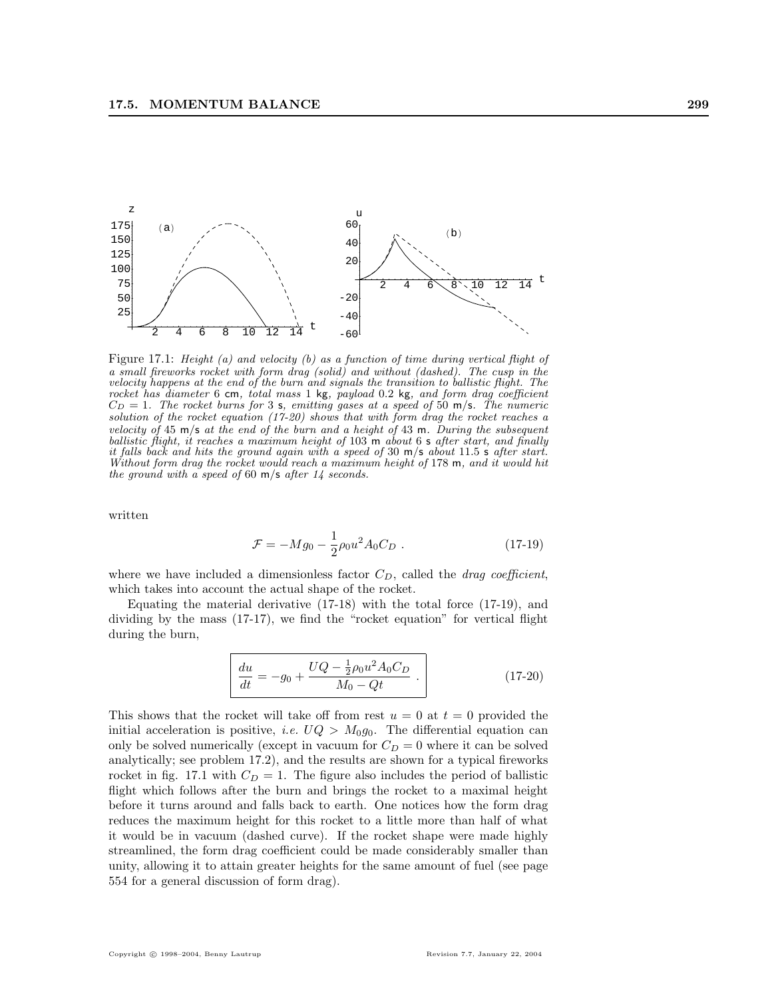

Figure 17.1: Height (a) and velocity (b) as a function of time during vertical flight of a small fireworks rocket with form drag (solid) and without (dashed). The cusp in the velocity happens at the end of the burn and signals the transition to ballistic flight. The rocket has diameter 6 cm, total mass 1 kg, payload 0.2 kg, and form drag coefficient  $C_D = 1$ . The rocket burns for 3 s, emitting gases at a speed of 50 m/s. The numeric solution of the rocket equation (17-20) shows that with form drag the rocket reaches a velocity of 45 m/s at the end of the burn and a height of 43 m. During the subsequent ballistic flight, it reaches a maximum height of 103 m about 6 s after start, and finally it falls back and hits the ground again with a speed of 30 m/s about 11.5 s after start. Without form drag the rocket would reach a maximum height of 178 m, and it would hit the ground with a speed of 60  $m/s$  after 14 seconds.

written

$$
\mathcal{F} = -Mg_0 - \frac{1}{2}\rho_0 u^2 A_0 C_D . \qquad (17-19)
$$

where we have included a dimensionless factor  $C_D$ , called the *drag coefficient*, which takes into account the actual shape of the rocket.

Equating the material derivative  $(17-18)$  with the total force  $(17-19)$ , and dividing by the mass (17-17), we find the "rocket equation" for vertical flight during the burn,

$$
\frac{du}{dt} = -g_0 + \frac{UQ - \frac{1}{2}\rho_0 u^2 A_0 C_D}{M_0 - Qt} \tag{17-20}
$$

This shows that the rocket will take off from rest  $u = 0$  at  $t = 0$  provided the initial acceleration is positive, *i.e.*  $UQ > M_0g_0$ . The differential equation can only be solved numerically (except in vacuum for  $C_D = 0$  where it can be solved analytically; see problem 17.2), and the results are shown for a typical fireworks rocket in fig. 17.1 with  $C_D = 1$ . The figure also includes the period of ballistic flight which follows after the burn and brings the rocket to a maximal height before it turns around and falls back to earth. One notices how the form drag reduces the maximum height for this rocket to a little more than half of what it would be in vacuum (dashed curve). If the rocket shape were made highly streamlined, the form drag coefficient could be made considerably smaller than unity, allowing it to attain greater heights for the same amount of fuel (see page 554 for a general discussion of form drag).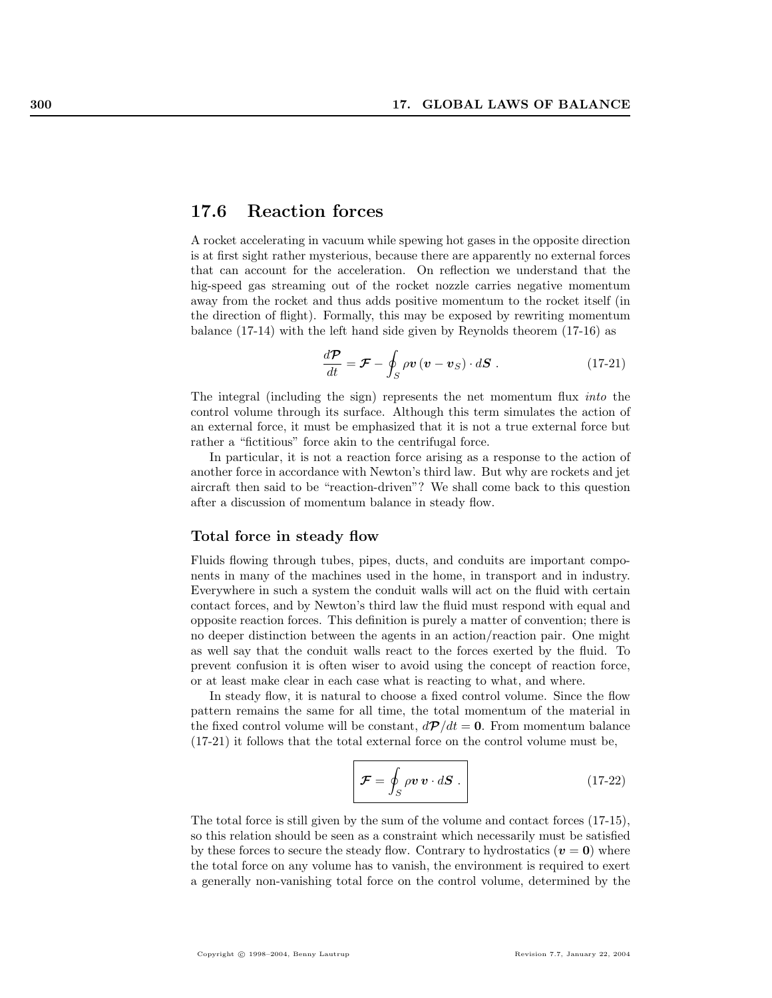# 17.6 Reaction forces

A rocket accelerating in vacuum while spewing hot gases in the opposite direction is at first sight rather mysterious, because there are apparently no external forces that can account for the acceleration. On reflection we understand that the hig-speed gas streaming out of the rocket nozzle carries negative momentum away from the rocket and thus adds positive momentum to the rocket itself (in the direction of flight). Formally, this may be exposed by rewriting momentum balance (17-14) with the left hand side given by Reynolds theorem (17-16) as

$$
\frac{d\mathcal{P}}{dt} = \mathcal{F} - \oint_{S} \rho \mathbf{v} \left( \mathbf{v} - \mathbf{v}_{S} \right) \cdot d\mathbf{S} \tag{17-21}
$$

The integral (including the sign) represents the net momentum flux into the control volume through its surface. Although this term simulates the action of an external force, it must be emphasized that it is not a true external force but rather a "fictitious" force akin to the centrifugal force.

In particular, it is not a reaction force arising as a response to the action of another force in accordance with Newton's third law. But why are rockets and jet aircraft then said to be "reaction-driven"? We shall come back to this question after a discussion of momentum balance in steady flow.

## Total force in steady flow

Fluids flowing through tubes, pipes, ducts, and conduits are important components in many of the machines used in the home, in transport and in industry. Everywhere in such a system the conduit walls will act on the fluid with certain contact forces, and by Newton's third law the fluid must respond with equal and opposite reaction forces. This definition is purely a matter of convention; there is no deeper distinction between the agents in an action/reaction pair. One might as well say that the conduit walls react to the forces exerted by the fluid. To prevent confusion it is often wiser to avoid using the concept of reaction force, or at least make clear in each case what is reacting to what, and where.

In steady flow, it is natural to choose a fixed control volume. Since the flow pattern remains the same for all time, the total momentum of the material in the fixed control volume will be constant,  $d\mathcal{P}/dt = 0$ . From momentum balance (17-21) it follows that the total external force on the control volume must be,

$$
\mathcal{F} = \oint_{S} \rho v \, v \cdot dS \,. \tag{17-22}
$$

The total force is still given by the sum of the volume and contact forces (17-15), so this relation should be seen as a constraint which necessarily must be satisfied by these forces to secure the steady flow. Contrary to hydrostatics ( $v = 0$ ) where the total force on any volume has to vanish, the environment is required to exert a generally non-vanishing total force on the control volume, determined by the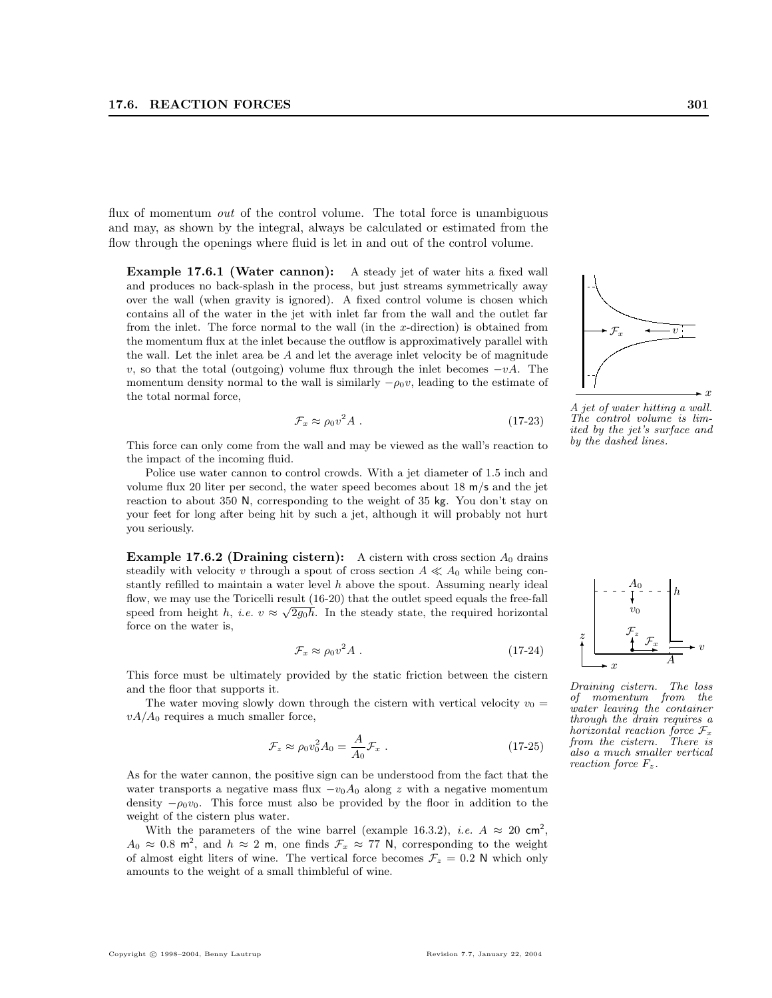flux of momentum *out* of the control volume. The total force is unambiguous and may, as shown by the integral, always be calculated or estimated from the flow through the openings where fluid is let in and out of the control volume.

Example 17.6.1 (Water cannon): A steady jet of water hits a fixed wall and produces no back-splash in the process, but just streams symmetrically away over the wall (when gravity is ignored). A fixed control volume is chosen which contains all of the water in the jet with inlet far from the wall and the outlet far from the inlet. The force normal to the wall (in the x-direction) is obtained from the momentum flux at the inlet because the outflow is approximatively parallel with the wall. Let the inlet area be A and let the average inlet velocity be of magnitude v, so that the total (outgoing) volume flux through the inlet becomes  $-vA$ . The momentum density normal to the wall is similarly  $-\rho_0 v$ , leading to the estimate of the total normal force,

$$
\mathcal{F}_x \approx \rho_0 v^2 A \tag{17-23}
$$

This force can only come from the wall and may be viewed as the wall's reaction to the impact of the incoming fluid.

Police use water cannon to control crowds. With a jet diameter of 1.5 inch and volume flux 20 liter per second, the water speed becomes about 18 m/s and the jet reaction to about 350 N, corresponding to the weight of 35 kg. You don't stay on your feet for long after being hit by such a jet, although it will probably not hurt you seriously.

**Example 17.6.2 (Draining cistern):** A cistern with cross section  $A_0$  drains steadily with velocity v through a spout of cross section  $A \ll A_0$  while being constantly refilled to maintain a water level  $h$  above the spout. Assuming nearly ideal flow, we may use the Toricelli result  $(16-20)$  that the outlet speed equals the free-fall speed from height h, i.e.  $v \approx \sqrt{2g_0h}$ . In the steady state, the required horizontal force on the water is,

$$
\mathcal{F}_x \approx \rho_0 v^2 A \tag{17-24}
$$

This force must be ultimately provided by the static friction between the cistern and the floor that supports it.

The water moving slowly down through the cistern with vertical velocity  $v_0 =$  $vA/A_0$  requires a much smaller force,

$$
\mathcal{F}_z \approx \rho_0 v_0^2 A_0 = \frac{A}{A_0} \mathcal{F}_x \ . \tag{17-25}
$$

As for the water cannon, the positive sign can be understood from the fact that the water transports a negative mass flux  $-v_0A_0$  along z with a negative momentum density  $-\rho_0v_0$ . This force must also be provided by the floor in addition to the weight of the cistern plus water.

With the parameters of the wine barrel (example 16.3.2), *i.e.*  $A \approx 20 \text{ cm}^2$ ,  $A_0 \approx 0.8$  m<sup>2</sup>, and  $h \approx 2$  m, one finds  $\mathcal{F}_x \approx 77$  N, corresponding to the weight of almost eight liters of wine. The vertical force becomes  $\mathcal{F}_z = 0.2$  N which only amounts to the weight of a small thimbleful of wine.

A jet of water hitting a wall. The control volume is limited by the jet's surface and by the dashed lines.

 $\mathcal{F}_x$   $\longleftarrow$  v



also a much smaller vertical

reaction force  $F_z$ .

 $\frac{1}{v_0}$ 

 $A_0$ 

h

 $\cdot$   $\boldsymbol{x}$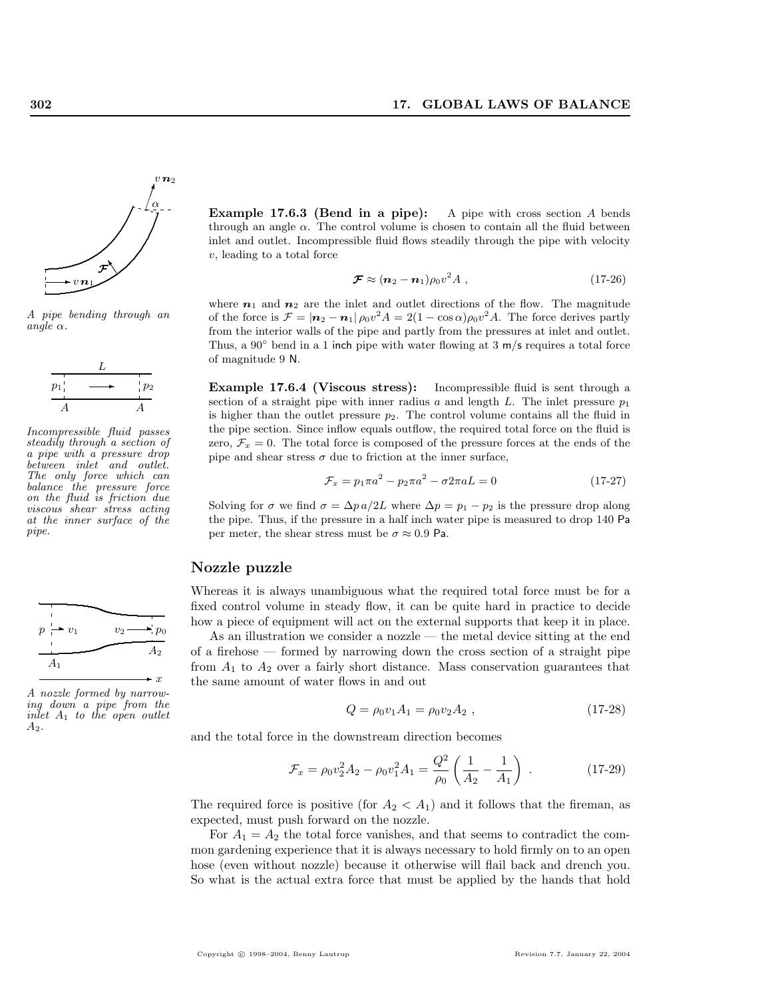

A pipe bending through an  $angle \alpha$ .



Incompressible fluid passes steadily through a section of a pipe with a pressure drop between inlet and outlet. The only force which can balance the pressure force on the fluid is friction due viscous shear stress acting at the inner surface of the pipe.



A nozzle formed by narrowing down a pipe from the inlet  $A_1$  to the open outlet  $A_2.$ 

Example 17.6.3 (Bend in a pipe): A pipe with cross section A bends through an angle  $\alpha$ . The control volume is chosen to contain all the fluid between inlet and outlet. Incompressible fluid flows steadily through the pipe with velocity v, leading to a total force

$$
\mathcal{F} \approx (n_2 - n_1)\rho_0 v^2 A , \qquad (17-26)
$$

where  $n_1$  and  $n_2$  are the inlet and outlet directions of the flow. The magnitude of the force is  $\mathcal{F} = |\mathbf{n}_2 - \mathbf{n}_1| \rho_0 v^2 A = 2(1 - \cos \alpha) \rho_0 v^2 A$ . The force derives partly from the interior walls of the pipe and partly from the pressures at inlet and outlet. Thus, a  $90°$  bend in a 1 inch pipe with water flowing at 3 m/s requires a total force of magnitude 9 N.

Example 17.6.4 (Viscous stress): Incompressible fluid is sent through a section of a straight pipe with inner radius a and length L. The inlet pressure  $p_1$ is higher than the outlet pressure  $p_2$ . The control volume contains all the fluid in the pipe section. Since inflow equals outflow, the required total force on the fluid is zero,  $\mathcal{F}_x = 0$ . The total force is composed of the pressure forces at the ends of the pipe and shear stress  $\sigma$  due to friction at the inner surface,

$$
\mathcal{F}_x = p_1 \pi a^2 - p_2 \pi a^2 - \sigma 2 \pi a L = 0 \tag{17-27}
$$

Solving for  $\sigma$  we find  $\sigma = \Delta p a/2L$  where  $\Delta p = p_1 - p_2$  is the pressure drop along the pipe. Thus, if the pressure in a half inch water pipe is measured to drop 140 Pa per meter, the shear stress must be  $\sigma \approx 0.9$  Pa.

## Nozzle puzzle

Whereas it is always unambiguous what the required total force must be for a fixed control volume in steady flow, it can be quite hard in practice to decide how a piece of equipment will act on the external supports that keep it in place.

As an illustration we consider a nozzle — the metal device sitting at the end of a firehose — formed by narrowing down the cross section of a straight pipe from  $A_1$  to  $A_2$  over a fairly short distance. Mass conservation guarantees that the same amount of water flows in and out

$$
Q = \rho_0 v_1 A_1 = \rho_0 v_2 A_2 , \qquad (17-28)
$$

and the total force in the downstream direction becomes

$$
\mathcal{F}_x = \rho_0 v_2^2 A_2 - \rho_0 v_1^2 A_1 = \frac{Q^2}{\rho_0} \left( \frac{1}{A_2} - \frac{1}{A_1} \right) \,. \tag{17-29}
$$

The required force is positive (for  $A_2 < A_1$ ) and it follows that the fireman, as expected, must push forward on the nozzle.

For  $A_1 = A_2$  the total force vanishes, and that seems to contradict the common gardening experience that it is always necessary to hold firmly on to an open hose (even without nozzle) because it otherwise will flail back and drench you. So what is the actual extra force that must be applied by the hands that hold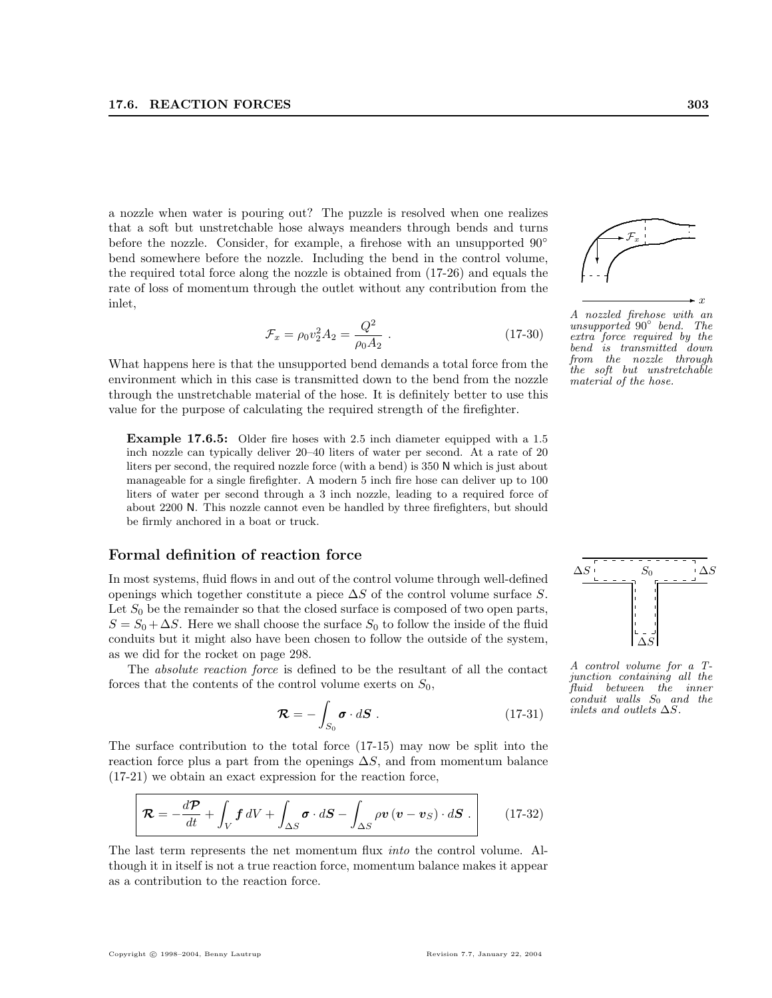a nozzle when water is pouring out? The puzzle is resolved when one realizes that a soft but unstretchable hose always meanders through bends and turns before the nozzle. Consider, for example, a firehose with an unsupported  $90°$ bend somewhere before the nozzle. Including the bend in the control volume, the required total force along the nozzle is obtained from (17-26) and equals the rate of loss of momentum through the outlet without any contribution from the inlet,

$$
\mathcal{F}_x = \rho_0 v_2^2 A_2 = \frac{Q^2}{\rho_0 A_2} \,. \tag{17-30}
$$

What happens here is that the unsupported bend demands a total force from the environment which in this case is transmitted down to the bend from the nozzle through the unstretchable material of the hose. It is definitely better to use this value for the purpose of calculating the required strength of the firefighter.

Example 17.6.5: Older fire hoses with 2.5 inch diameter equipped with a 1.5 inch nozzle can typically deliver 20–40 liters of water per second. At a rate of 20 liters per second, the required nozzle force (with a bend) is 350 N which is just about manageable for a single firefighter. A modern 5 inch fire hose can deliver up to 100 liters of water per second through a 3 inch nozzle, leading to a required force of about 2200 N. This nozzle cannot even be handled by three firefighters, but should be firmly anchored in a boat or truck.

## Formal definition of reaction force

In most systems, fluid flows in and out of the control volume through well-defined openings which together constitute a piece  $\Delta S$  of the control volume surface S. Let  $S_0$  be the remainder so that the closed surface is composed of two open parts,  $S = S_0 + \Delta S$ . Here we shall choose the surface  $S_0$  to follow the inside of the fluid conduits but it might also have been chosen to follow the outside of the system, as we did for the rocket on page 298.

The absolute reaction force is defined to be the resultant of all the contact forces that the contents of the control volume exerts on  $S_0$ ,

$$
\mathcal{R} = -\int_{S_0} \boldsymbol{\sigma} \cdot d\mathbf{S} \ . \tag{17-31}
$$

The surface contribution to the total force (17-15) may now be split into the reaction force plus a part from the openings  $\Delta S$ , and from momentum balance (17-21) we obtain an exact expression for the reaction force,

$$
\mathcal{R} = -\frac{d\mathcal{P}}{dt} + \int_{V} f \, dV + \int_{\Delta S} \boldsymbol{\sigma} \cdot d\mathbf{S} - \int_{\Delta S} \rho \boldsymbol{v} \left( \boldsymbol{v} - \boldsymbol{v}_{S} \right) \cdot d\mathbf{S} \ . \tag{17-32}
$$

The last term represents the net momentum flux into the control volume. Although it in itself is not a true reaction force, momentum balance makes it appear as a contribution to the reaction force.



A nozzled firehose with an unsupported 90◦ bend. The extra force required by the bend is transmitted down from the nozzle through the soft but unstretchable material of the hose.



A control volume for a Tjunction containing all the fluid between the inner  $\epsilon$ conduit walls  $S_0$  and the inlets and outlets  $\Delta S$ .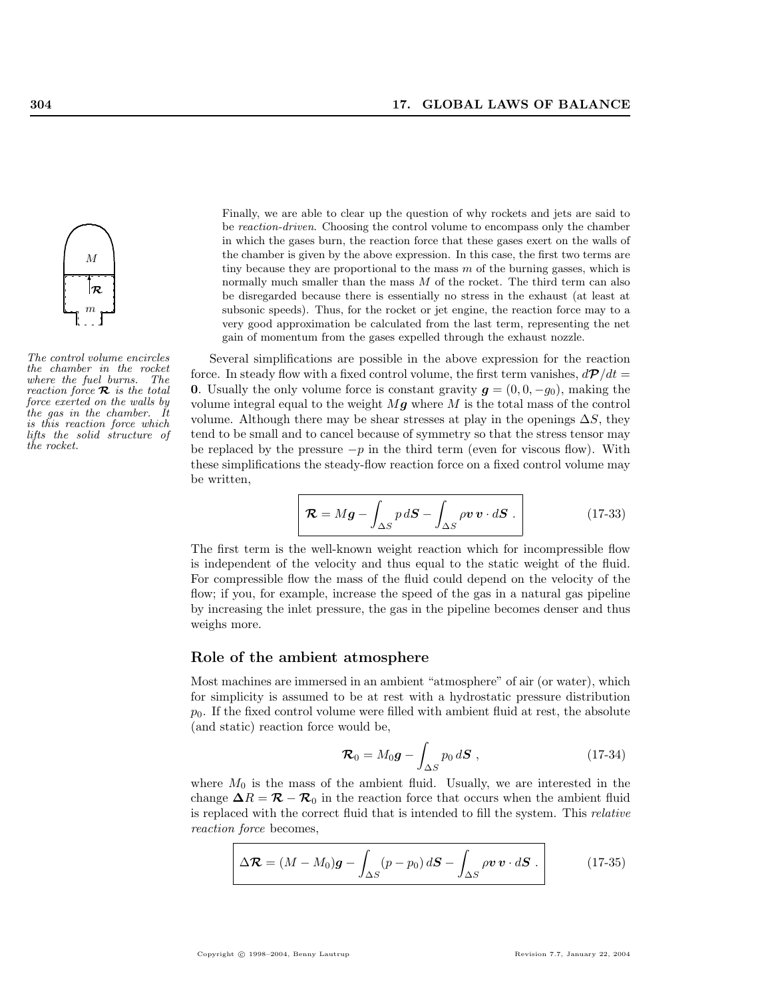

The control volume encircles the chamber in the rocket where the fuel burns. The reaction force  $\mathcal{R}$  is the total force exerted on the walls by the gas in the chamber. It is this reaction force which lifts the solid structure of the rocket.

Finally, we are able to clear up the question of why rockets and jets are said to be reaction-driven. Choosing the control volume to encompass only the chamber in which the gases burn, the reaction force that these gases exert on the walls of the chamber is given by the above expression. In this case, the first two terms are tiny because they are proportional to the mass  $m$  of the burning gasses, which is normally much smaller than the mass  $M$  of the rocket. The third term can also be disregarded because there is essentially no stress in the exhaust (at least at subsonic speeds). Thus, for the rocket or jet engine, the reaction force may to a very good approximation be calculated from the last term, representing the net gain of momentum from the gases expelled through the exhaust nozzle.

Several simplifications are possible in the above expression for the reaction force. In steady flow with a fixed control volume, the first term vanishes,  $d\mathcal{P}/dt =$ 0. Usually the only volume force is constant gravity  $g = (0, 0, -g_0)$ , making the volume integral equal to the weight  $Mg$  where M is the total mass of the control volume. Although there may be shear stresses at play in the openings  $\Delta S$ , they tend to be small and to cancel because of symmetry so that the stress tensor may be replaced by the pressure  $-p$  in the third term (even for viscous flow). With these simplifications the steady-flow reaction force on a fixed control volume may be written,

$$
\mathcal{R} = Mg - \int_{\Delta S} p \, d\mathbf{S} - \int_{\Delta S} \rho \mathbf{v} \, \mathbf{v} \cdot d\mathbf{S} \,. \tag{17-33}
$$

The first term is the well-known weight reaction which for incompressible flow is independent of the velocity and thus equal to the static weight of the fluid. For compressible flow the mass of the fluid could depend on the velocity of the flow; if you, for example, increase the speed of the gas in a natural gas pipeline by increasing the inlet pressure, the gas in the pipeline becomes denser and thus weighs more.

## Role of the ambient atmosphere

Most machines are immersed in an ambient "atmosphere" of air (or water), which for simplicity is assumed to be at rest with a hydrostatic pressure distribution  $p<sub>0</sub>$ . If the fixed control volume were filled with ambient fluid at rest, the absolute (and static) reaction force would be,

$$
\mathcal{R}_0 = M_0 \mathbf{g} - \int_{\Delta S} p_0 \, d\mathbf{S} \tag{17-34}
$$

where  $M_0$  is the mass of the ambient fluid. Usually, we are interested in the change  $\Delta R = \mathcal{R} - \mathcal{R}_0$  in the reaction force that occurs when the ambient fluid is replaced with the correct fluid that is intended to fill the system. This relative reaction force becomes,

$$
\Delta \mathcal{R} = (M - M_0) \mathbf{g} - \int_{\Delta S} (p - p_0) \, d\mathbf{S} - \int_{\Delta S} \rho \mathbf{v} \, \mathbf{v} \cdot d\mathbf{S} \ . \tag{17-35}
$$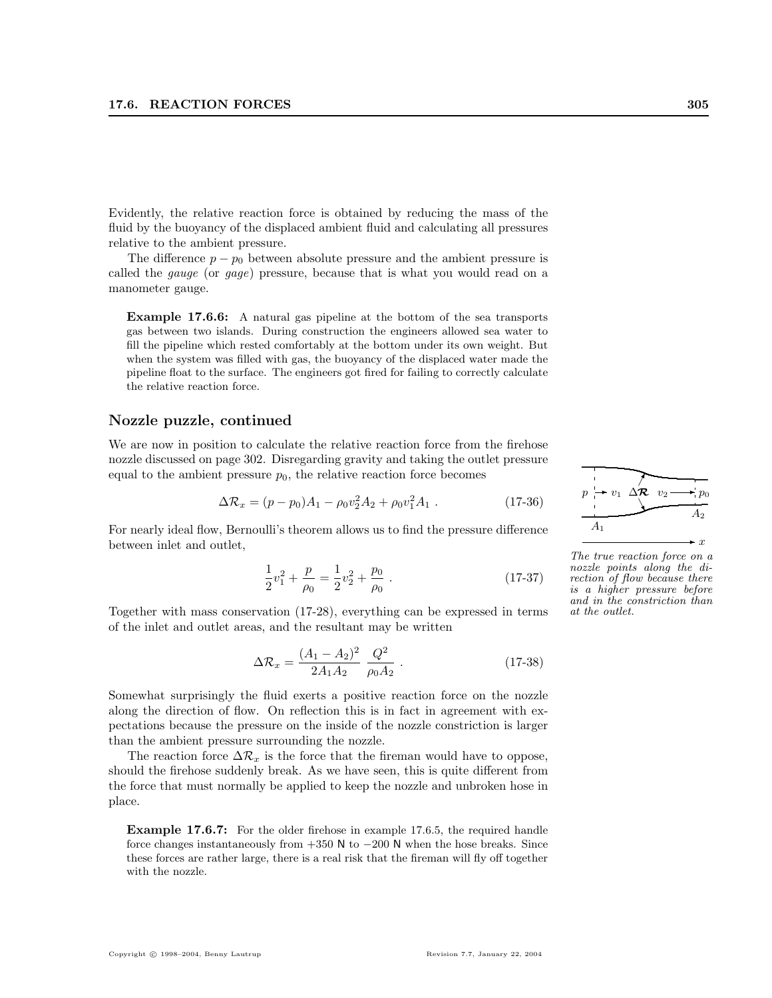Evidently, the relative reaction force is obtained by reducing the mass of the fluid by the buoyancy of the displaced ambient fluid and calculating all pressures relative to the ambient pressure.

The difference  $p - p_0$  between absolute pressure and the ambient pressure is called the gauge (or gage) pressure, because that is what you would read on a manometer gauge.

Example 17.6.6: A natural gas pipeline at the bottom of the sea transports gas between two islands. During construction the engineers allowed sea water to fill the pipeline which rested comfortably at the bottom under its own weight. But when the system was filled with gas, the buoyancy of the displaced water made the pipeline float to the surface. The engineers got fired for failing to correctly calculate the relative reaction force.

## Nozzle puzzle, continued

We are now in position to calculate the relative reaction force from the firehose nozzle discussed on page 302. Disregarding gravity and taking the outlet pressure equal to the ambient pressure  $p_0$ , the relative reaction force becomes

$$
\Delta \mathcal{R}_x = (p - p_0)A_1 - \rho_0 v_2^2 A_2 + \rho_0 v_1^2 A_1 \tag{17-36}
$$

For nearly ideal flow, Bernoulli's theorem allows us to find the pressure difference between inlet and outlet,

$$
\frac{1}{2}v_1^2 + \frac{p}{\rho_0} = \frac{1}{2}v_2^2 + \frac{p_0}{\rho_0} \tag{17-37}
$$

Together with mass conservation (17-28), everything can be expressed in terms of the inlet and outlet areas, and the resultant may be written

$$
\Delta \mathcal{R}_x = \frac{(A_1 - A_2)^2}{2A_1 A_2} \frac{Q^2}{\rho_0 A_2} \,. \tag{17-38}
$$

Somewhat surprisingly the fluid exerts a positive reaction force on the nozzle along the direction of flow. On reflection this is in fact in agreement with expectations because the pressure on the inside of the nozzle constriction is larger than the ambient pressure surrounding the nozzle.

The reaction force  $\Delta \mathcal{R}_x$  is the force that the fireman would have to oppose, should the firehose suddenly break. As we have seen, this is quite different from the force that must normally be applied to keep the nozzle and unbroken hose in place.

Example 17.6.7: For the older firehose in example 17.6.5, the required handle force changes instantaneously from  $+350$  N to  $-200$  N when the hose breaks. Since these forces are rather large, there is a real risk that the fireman will fly off together with the nozzle.



The true reaction force on a nozzle points along the direction of flow because there is a higher pressure before and in the constriction than at the outlet.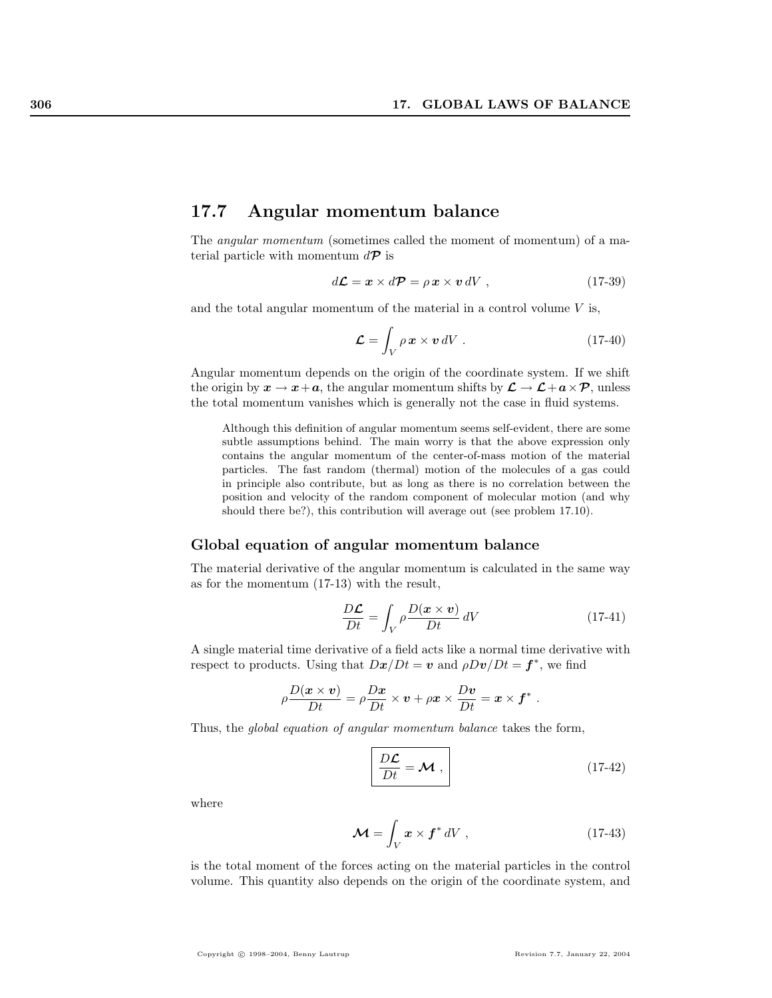## 17.7 Angular momentum balance

The angular momentum (sometimes called the moment of momentum) of a material particle with momentum  $d\mathcal{P}$  is

$$
d\mathcal{L} = \mathbf{x} \times d\mathcal{P} = \rho \mathbf{x} \times \mathbf{v} dV , \qquad (17-39)
$$

and the total angular momentum of the material in a control volume  $V$  is,

$$
\mathcal{L} = \int_{V} \rho \, \mathbf{x} \times \mathbf{v} \, dV \,. \tag{17-40}
$$

Angular momentum depends on the origin of the coordinate system. If we shift the origin by  $x \to x+a$ , the angular momentum shifts by  $\mathcal{L} \to \mathcal{L} + a \times \mathcal{P}$ , unless the total momentum vanishes which is generally not the case in fluid systems.

Although this definition of angular momentum seems self-evident, there are some subtle assumptions behind. The main worry is that the above expression only contains the angular momentum of the center-of-mass motion of the material particles. The fast random (thermal) motion of the molecules of a gas could in principle also contribute, but as long as there is no correlation between the position and velocity of the random component of molecular motion (and why should there be?), this contribution will average out (see problem 17.10).

#### Global equation of angular momentum balance

The material derivative of the angular momentum is calculated in the same way as for the momentum (17-13) with the result,

$$
\frac{D\mathcal{L}}{Dt} = \int_{V} \rho \frac{D(\mathbf{x} \times \mathbf{v})}{Dt} \, dV \tag{17-41}
$$

A single material time derivative of a field acts like a normal time derivative with respect to products. Using that  $D\mathbf{x}/Dt = \mathbf{v}$  and  $\rho D\mathbf{v}/Dt = \mathbf{f}^*$ , we find

$$
\rho \frac{D(\mathbf{x} \times \mathbf{v})}{Dt} = \rho \frac{D\mathbf{x}}{Dt} \times \mathbf{v} + \rho \mathbf{x} \times \frac{D\mathbf{v}}{Dt} = \mathbf{x} \times \mathbf{f}^*.
$$

Thus, the global equation of angular momentum balance takes the form,

$$
\frac{D\mathcal{L}}{Dt} = \mathcal{M} , \qquad (17-42)
$$

where

$$
\mathcal{M} = \int_{V} \boldsymbol{x} \times \boldsymbol{f}^* dV , \qquad (17-43)
$$

is the total moment of the forces acting on the material particles in the control volume. This quantity also depends on the origin of the coordinate system, and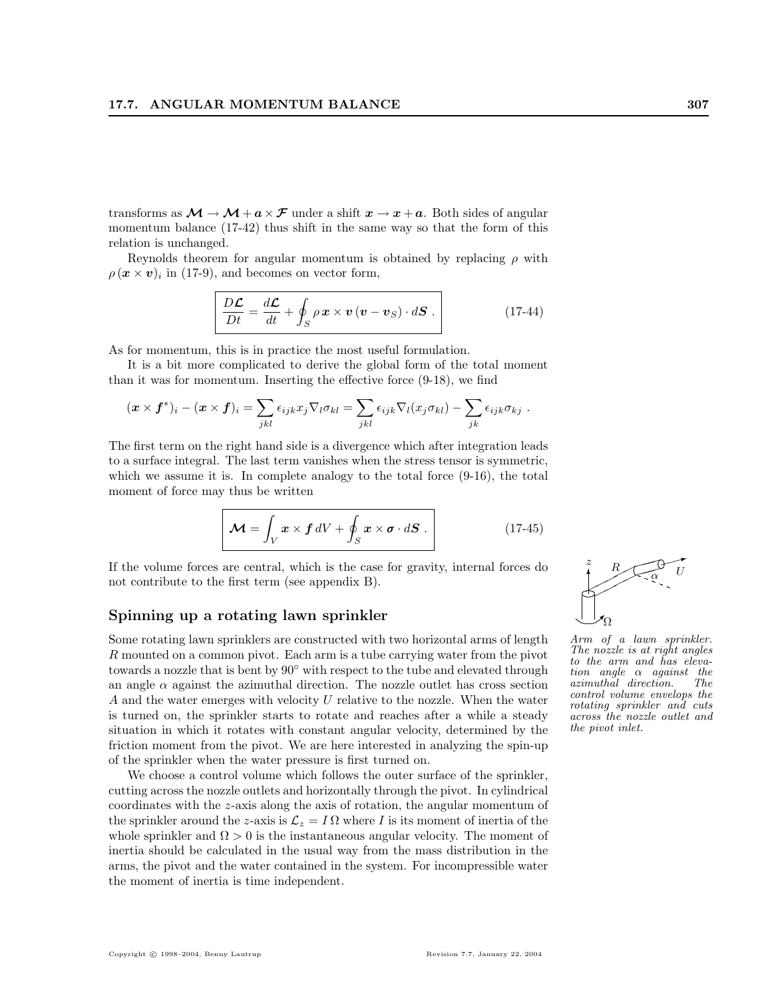transforms as  $\mathcal{M} \to \mathcal{M} + a \times \mathcal{F}$  under a shift  $x \to x + a$ . Both sides of angular momentum balance (17-42) thus shift in the same way so that the form of this relation is unchanged.

Reynolds theorem for angular momentum is obtained by replacing  $\rho$  with  $\rho(\boldsymbol{x} \times \boldsymbol{v})_i$  in (17-9), and becomes on vector form,

$$
\frac{D\mathcal{L}}{Dt} = \frac{d\mathcal{L}}{dt} + \oint_{S} \rho \mathbf{x} \times \mathbf{v} (\mathbf{v} - \mathbf{v}_{S}) \cdot d\mathbf{S} . \qquad (17-44)
$$

As for momentum, this is in practice the most useful formulation.

It is a bit more complicated to derive the global form of the total moment than it was for momentum. Inserting the effective force (9-18), we find

$$
(\boldsymbol{x} \times \boldsymbol{f}^*)_i - (\boldsymbol{x} \times \boldsymbol{f})_i = \sum_{jkl} \epsilon_{ijk} x_j \nabla_l \sigma_{kl} = \sum_{jkl} \epsilon_{ijk} \nabla_l (x_j \sigma_{kl}) - \sum_{jk} \epsilon_{ijk} \sigma_{kj}.
$$

The first term on the right hand side is a divergence which after integration leads to a surface integral. The last term vanishes when the stress tensor is symmetric, which we assume it is. In complete analogy to the total force  $(9-16)$ , the total moment of force may thus be written

$$
\mathcal{M} = \int_{V} x \times f \, dV + \oint_{S} x \times \boldsymbol{\sigma} \cdot d\boldsymbol{S} \,. \tag{17-45}
$$

If the volume forces are central, which is the case for gravity, internal forces do not contribute to the first term (see appendix B).

#### Spinning up a rotating lawn sprinkler

Some rotating lawn sprinklers are constructed with two horizontal arms of length R mounted on a common pivot. Each arm is a tube carrying water from the pivot towards a nozzle that is bent by 90◦ with respect to the tube and elevated through an angle  $\alpha$  against the azimuthal direction. The nozzle outlet has cross section  $A$  and the water emerges with velocity  $U$  relative to the nozzle. When the water is turned on, the sprinkler starts to rotate and reaches after a while a steady situation in which it rotates with constant angular velocity, determined by the friction moment from the pivot. We are here interested in analyzing the spin-up of the sprinkler when the water pressure is first turned on.

We choose a control volume which follows the outer surface of the sprinkler, cutting across the nozzle outlets and horizontally through the pivot. In cylindrical coordinates with the z-axis along the axis of rotation, the angular momentum of the sprinkler around the z-axis is  $\mathcal{L}_z = I \Omega$  where I is its moment of inertia of the whole sprinkler and  $\Omega > 0$  is the instantaneous angular velocity. The moment of inertia should be calculated in the usual way from the mass distribution in the arms, the pivot and the water contained in the system. For incompressible water the moment of inertia is time independent.



Arm of a lawn sprinkler. The nozzle is at right angles to the arm and has eleva- $\begin{array}{cc}\n\text{tion angle} & \alpha & \text{against} & \text{the}\n\text{azimuthal direction.} & \text{The}\n\end{array}$ azimuthal direction. control volume envelops the rotating sprinkler and cuts across the nozzle outlet and the pivot inlet.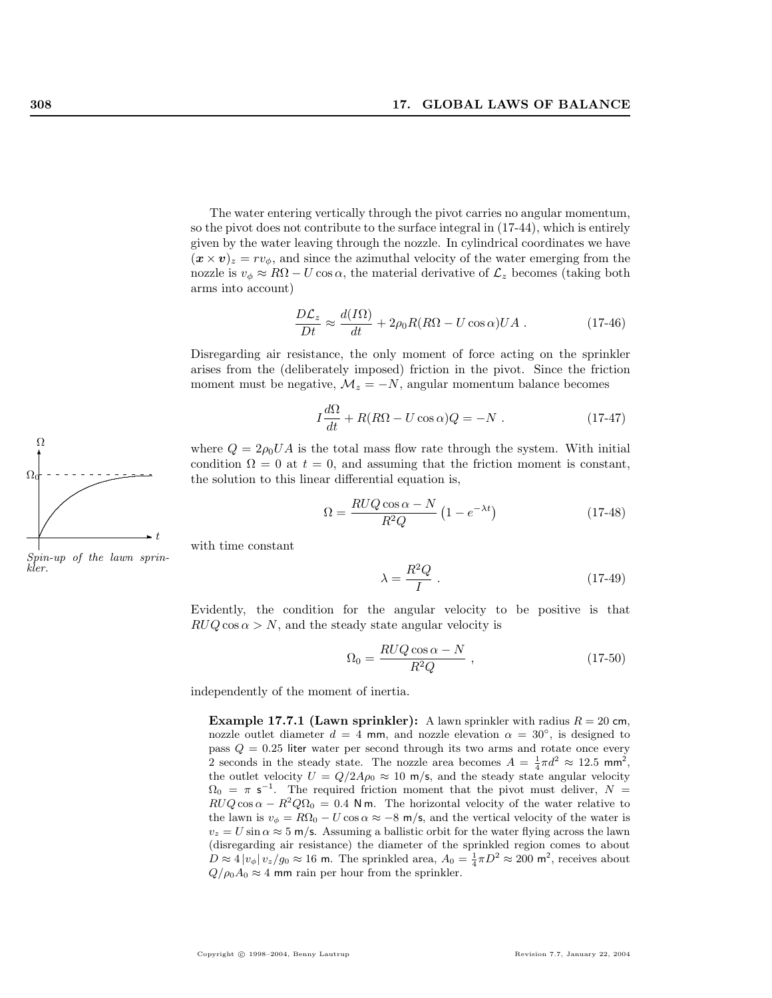The water entering vertically through the pivot carries no angular momentum, so the pivot does not contribute to the surface integral in (17-44), which is entirely given by the water leaving through the nozzle. In cylindrical coordinates we have  $(\mathbf{x} \times \mathbf{v})_z = r v_\phi$ , and since the azimuthal velocity of the water emerging from the nozzle is  $v_{\phi} \approx R\Omega - U \cos \alpha$ , the material derivative of  $\mathcal{L}_z$  becomes (taking both arms into account)

$$
\frac{D\mathcal{L}_z}{Dt} \approx \frac{d(I\Omega)}{dt} + 2\rho_0 R(R\Omega - U\cos\alpha)UA .
$$
 (17-46)

Disregarding air resistance, the only moment of force acting on the sprinkler arises from the (deliberately imposed) friction in the pivot. Since the friction moment must be negative,  $M_z = -N$ , angular momentum balance becomes

$$
I\frac{d\Omega}{dt} + R(R\Omega - U\cos\alpha)Q = -N.
$$
 (17-47)

where  $Q = 2\rho_0 U A$  is the total mass flow rate through the system. With initial condition  $\Omega = 0$  at  $t = 0$ , and assuming that the friction moment is constant, the solution to this linear differential equation is,

$$
\Omega = \frac{RUQ\cos\alpha - N}{R^2Q} \left(1 - e^{-\lambda t}\right) \tag{17-48}
$$

with time constant

$$
\lambda = \frac{R^2 Q}{I} \tag{17-49}
$$

Evidently, the condition for the angular velocity to be positive is that  $RUQ \cos \alpha > N$ , and the steady state angular velocity is

$$
\Omega_0 = \frac{RUQ\cos\alpha - N}{R^2Q} \t{,} \t(17-50)
$$

independently of the moment of inertia.

**Example 17.7.1 (Lawn sprinkler):** A lawn sprinkler with radius  $R = 20$  cm, nozzle outlet diameter  $d = 4$  mm, and nozzle elevation  $\alpha = 30^{\circ}$ , is designed to pass  $Q = 0.25$  liter water per second through its two arms and rotate once every 2 seconds in the steady state. The nozzle area becomes  $A = \frac{1}{4}\pi d^2 \approx 12.5 \text{ mm}^2$ , the outlet velocity  $U = Q/2A\rho_0 \approx 10 \text{ m/s}$ , and the steady state angular velocity  $\Omega_0 = \pi \, s^{-1}$ . The required friction moment that the pivot must deliver,  $N =$  $RUQ \cos \alpha - R^2Q\Omega_0 = 0.4$  Nm. The horizontal velocity of the water relative to the lawn is  $v_{\phi} = R\Omega_0 - U \cos \alpha \approx -8$  m/s, and the vertical velocity of the water is  $v_z = U \sin \alpha \approx 5$  m/s. Assuming a ballistic orbit for the water flying across the lawn (disregarding air resistance) the diameter of the sprinkled region comes to about  $D \approx 4 |v_{\phi}| v_z/g_0 \approx 16$  m. The sprinkled area,  $A_0 = \frac{1}{4}\pi D^2 \approx 200$  m<sup>2</sup>, receives about  $Q/\rho_0 A_0 \approx 4$  mm rain per hour from the sprinkler.



Spin-up of the lawn sprinkler.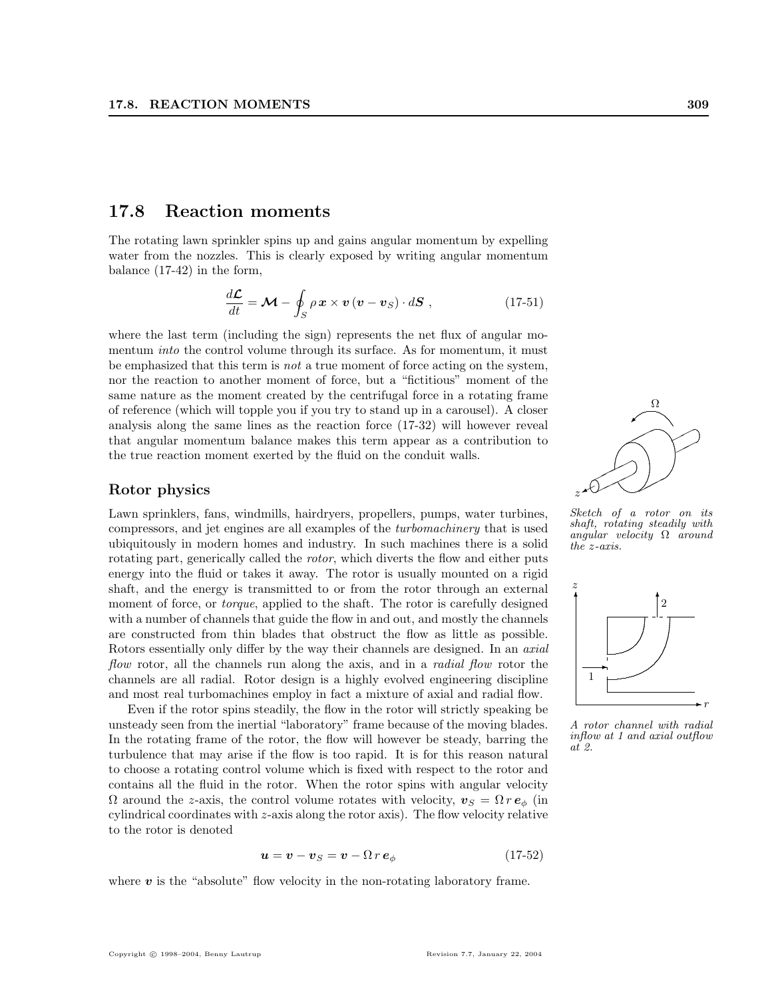## 17.8 Reaction moments

The rotating lawn sprinkler spins up and gains angular momentum by expelling water from the nozzles. This is clearly exposed by writing angular momentum balance (17-42) in the form,

$$
\frac{d\mathcal{L}}{dt} = \mathcal{M} - \oint_{S} \rho \, \mathbf{x} \times \mathbf{v} \left( \mathbf{v} - \mathbf{v}_{S} \right) \cdot d\mathbf{S} \tag{17-51}
$$

where the last term (including the sign) represents the net flux of angular momentum *into* the control volume through its surface. As for momentum, it must be emphasized that this term is *not* a true moment of force acting on the system, nor the reaction to another moment of force, but a "fictitious" moment of the same nature as the moment created by the centrifugal force in a rotating frame of reference (which will topple you if you try to stand up in a carousel). A closer analysis along the same lines as the reaction force (17-32) will however reveal that angular momentum balance makes this term appear as a contribution to the true reaction moment exerted by the fluid on the conduit walls.

## Rotor physics

Lawn sprinklers, fans, windmills, hairdryers, propellers, pumps, water turbines, compressors, and jet engines are all examples of the turbomachinery that is used ubiquitously in modern homes and industry. In such machines there is a solid rotating part, generically called the *rotor*, which diverts the flow and either puts energy into the fluid or takes it away. The rotor is usually mounted on a rigid shaft, and the energy is transmitted to or from the rotor through an external moment of force, or *torque*, applied to the shaft. The rotor is carefully designed with a number of channels that guide the flow in and out, and mostly the channels are constructed from thin blades that obstruct the flow as little as possible. Rotors essentially only differ by the way their channels are designed. In an axial flow rotor, all the channels run along the axis, and in a *radial flow* rotor the channels are all radial. Rotor design is a highly evolved engineering discipline and most real turbomachines employ in fact a mixture of axial and radial flow.

Even if the rotor spins steadily, the flow in the rotor will strictly speaking be unsteady seen from the inertial "laboratory" frame because of the moving blades. In the rotating frame of the rotor, the flow will however be steady, barring the turbulence that may arise if the flow is too rapid. It is for this reason natural to choose a rotating control volume which is fixed with respect to the rotor and contains all the fluid in the rotor. When the rotor spins with angular velocity  $\Omega$  around the z-axis, the control volume rotates with velocity,  $v_S = \Omega r e_{\phi}$  (in cylindrical coordinates with z-axis along the rotor axis). The flow velocity relative to the rotor is denoted

$$
u = v - vS = v - \Omega r e\phi
$$
 (17-52)

where  $v$  is the "absolute" flow velocity in the non-rotating laboratory frame.

 $\angle$  $\overline{a}$ . ...... . .... .... . ..... .......... . . 1 . .............. ✟✟ ✟✟ ✟✟ ✟✟  $\prec$ ✟✟✟ ✟✟ ✟✟ ✠ Ω  $z \star \hspace{-0.1cm}\star$ 

Sketch of a rotor on its shaft, rotating steadily with angular velocity  $\Omega$  around the z-axis.



A rotor channel with radial inflow at 1 and axial outflow at 2.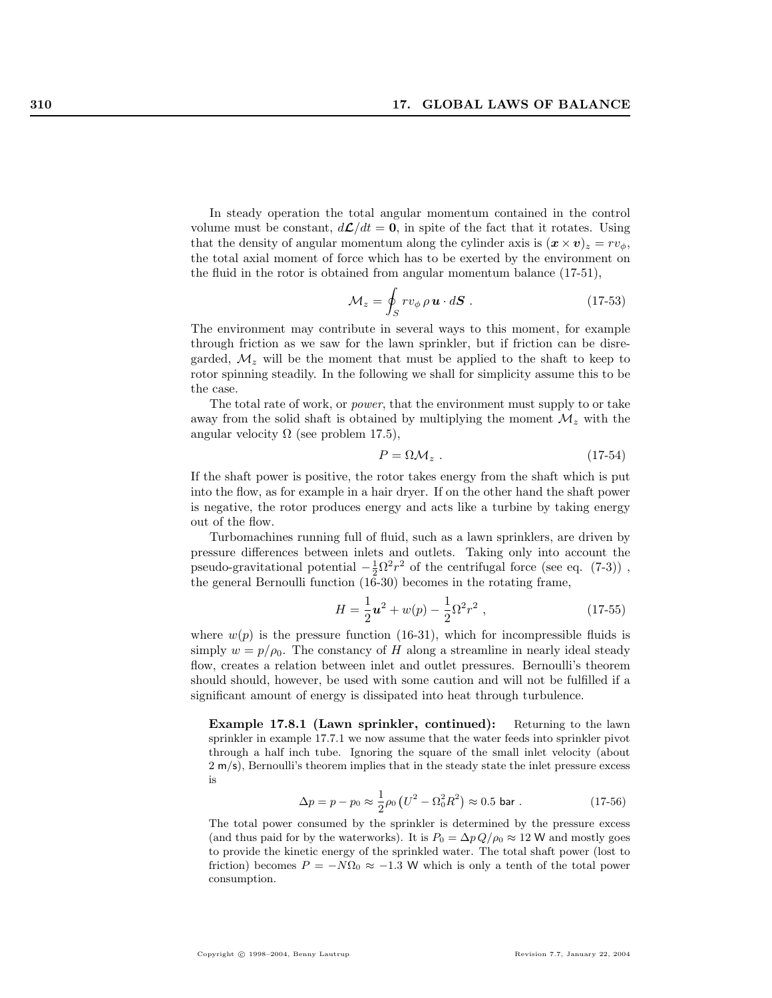In steady operation the total angular momentum contained in the control volume must be constant,  $d\mathcal{L}/dt = 0$ , in spite of the fact that it rotates. Using that the density of angular momentum along the cylinder axis is  $(\mathbf{x} \times \mathbf{v})_z = rv_{\phi}$ , the total axial moment of force which has to be exerted by the environment on the fluid in the rotor is obtained from angular momentum balance (17-51),

$$
\mathcal{M}_z = \oint_S r v_{\phi} \, \rho \, \mathbf{u} \cdot d\mathbf{S} \; . \tag{17-53}
$$

The environment may contribute in several ways to this moment, for example through friction as we saw for the lawn sprinkler, but if friction can be disregarded,  $\mathcal{M}_z$  will be the moment that must be applied to the shaft to keep to rotor spinning steadily. In the following we shall for simplicity assume this to be the case.

The total rate of work, or power, that the environment must supply to or take away from the solid shaft is obtained by multiplying the moment  $\mathcal{M}_z$  with the angular velocity  $\Omega$  (see problem 17.5),

$$
P = \Omega \mathcal{M}_z \tag{17-54}
$$

If the shaft power is positive, the rotor takes energy from the shaft which is put into the flow, as for example in a hair dryer. If on the other hand the shaft power is negative, the rotor produces energy and acts like a turbine by taking energy out of the flow.

Turbomachines running full of fluid, such as a lawn sprinklers, are driven by pressure differences between inlets and outlets. Taking only into account the pseudo-gravitational potential  $-\frac{1}{2}\Omega^2 r^2$  of the centrifugal force (see eq. (7-3)), the general Bernoulli function (16-30) becomes in the rotating frame,

$$
H = \frac{1}{2}u^2 + w(p) - \frac{1}{2}\Omega^2 r^2 , \qquad (17-55)
$$

where  $w(p)$  is the pressure function (16-31), which for incompressible fluids is simply  $w = p/\rho_0$ . The constancy of H along a streamline in nearly ideal steady flow, creates a relation between inlet and outlet pressures. Bernoulli's theorem should should, however, be used with some caution and will not be fulfilled if a significant amount of energy is dissipated into heat through turbulence.

Example 17.8.1 (Lawn sprinkler, continued): Returning to the lawn sprinkler in example 17.7.1 we now assume that the water feeds into sprinkler pivot through a half inch tube. Ignoring the square of the small inlet velocity (about 2 m/s), Bernoulli's theorem implies that in the steady state the inlet pressure excess is

$$
\Delta p = p - p_0 \approx \frac{1}{2}\rho_0 \left( U^2 - \Omega_0^2 R^2 \right) \approx 0.5 \text{ bar} . \qquad (17-56)
$$

The total power consumed by the sprinkler is determined by the pressure excess (and thus paid for by the waterworks). It is  $P_0 = \Delta p Q / \rho_0 \approx 12$  W and mostly goes to provide the kinetic energy of the sprinkled water. The total shaft power (lost to friction) becomes  $P = -N\Omega_0 \approx -1.3$  W which is only a tenth of the total power consumption.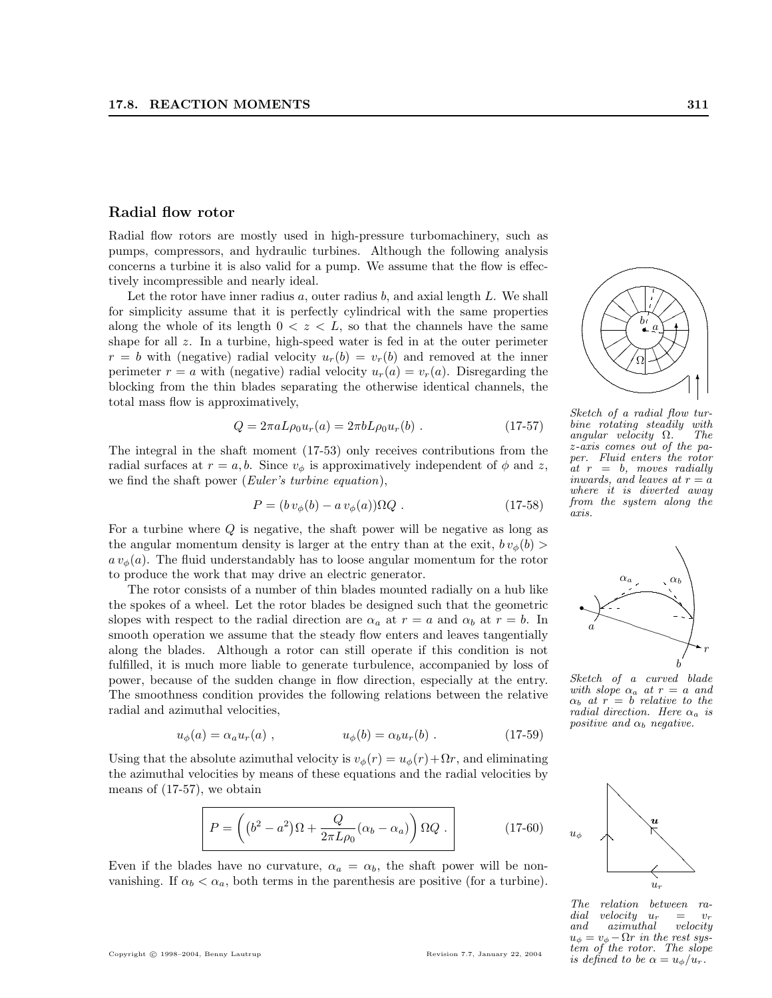#### Radial flow rotor

Radial flow rotors are mostly used in high-pressure turbomachinery, such as pumps, compressors, and hydraulic turbines. Although the following analysis concerns a turbine it is also valid for a pump. We assume that the flow is effectively incompressible and nearly ideal.

Let the rotor have inner radius  $a$ , outer radius  $b$ , and axial length  $L$ . We shall for simplicity assume that it is perfectly cylindrical with the same properties along the whole of its length  $0 < z < L$ , so that the channels have the same shape for all z. In a turbine, high-speed water is fed in at the outer perimeter  $r = b$  with (negative) radial velocity  $u_r(b) = v_r(b)$  and removed at the inner perimeter  $r = a$  with (negative) radial velocity  $u_r(a) = v_r(a)$ . Disregarding the blocking from the thin blades separating the otherwise identical channels, the total mass flow is approximatively,

$$
Q = 2\pi a L \rho_0 u_r(a) = 2\pi b L \rho_0 u_r(b) . \qquad (17-57)
$$

The integral in the shaft moment (17-53) only receives contributions from the radial surfaces at  $r = a, b$ . Since  $v_{\phi}$  is approximatively independent of  $\phi$  and z, we find the shaft power (*Euler's turbine equation*),

$$
P = (b v_{\phi}(b) - a v_{\phi}(a)) \Omega Q . \qquad (17-58)
$$

For a turbine where  $Q$  is negative, the shaft power will be negative as long as the angular momentum density is larger at the entry than at the exit,  $b v_{\phi}(b)$  $a v_{\phi}(a)$ . The fluid understandably has to loose angular momentum for the rotor to produce the work that may drive an electric generator.

The rotor consists of a number of thin blades mounted radially on a hub like the spokes of a wheel. Let the rotor blades be designed such that the geometric slopes with respect to the radial direction are  $\alpha_a$  at  $r = a$  and  $\alpha_b$  at  $r = b$ . In smooth operation we assume that the steady flow enters and leaves tangentially along the blades. Although a rotor can still operate if this condition is not fulfilled, it is much more liable to generate turbulence, accompanied by loss of power, because of the sudden change in flow direction, especially at the entry. The smoothness condition provides the following relations between the relative radial and azimuthal velocities,

$$
u_{\phi}(a) = \alpha_a u_r(a) , \qquad \qquad u_{\phi}(b) = \alpha_b u_r(b) . \qquad (17-59)
$$

Using that the absolute azimuthal velocity is  $v_{\phi}(r) = u_{\phi}(r) + \Omega r$ , and eliminating the azimuthal velocities by means of these equations and the radial velocities by means of (17-57), we obtain

$$
P = \left( (b^2 - a^2) \Omega + \frac{Q}{2\pi L \rho_0} (\alpha_b - \alpha_a) \right) \Omega Q . \qquad (17-60)
$$

Even if the blades have no curvature,  $\alpha_a = \alpha_b$ , the shaft power will be nonvanishing. If  $\alpha_b < \alpha_a$ , both terms in the parenthesis are positive (for a turbine).

 $\int a \rangle$  $\overline{\phantom{a}}$ .  $\searrow$  . . . . ....................................................................  $\downarrow$ ✻ Ω ✻ a b  $\sqrt{\mathbb{Q}}$ ✟✟ ✧✧ ❍❍ ✔  $\angle$ ▲ ▲ ❛❛ Sketch of a radial flow turbine rotating steadily with<br>angular velocity  $\Omega$ . The angular velocity  $\Omega$ . z-axis comes out of the paper. Fluid enters the rotor at  $r = b$ , moves radially inwards, and leaves at  $r = a$ 

where it is diverted away from the system along the

axis.

يبلى ....

❧❧ ✁

❆ ❆

. . ... ...... ........... ............... ...... ... ...

 $\diagup$ 

 $\overline{\phantom{a}}$ 

..... ..... ........ ................................ ..... ..... ... ... .



Sketch of a curved blade with slope  $\alpha_a$  at  $r = a$  and  $\alpha_b$  at  $r = b$  relative to the radial direction. Here  $\alpha_a$  is positive and  $\alpha_b$  negative.



The relation between ra-<br>dial velocity  $u_r = v_r$ dial velocity  $u_r = v_r$ <br>and azimuthal velocity  $azimuthal$  $u_{\phi} = v_{\phi} - \Omega r$  in the rest system of the rotor. The slope is defined to be  $\alpha = u_{\phi}/u_r$ .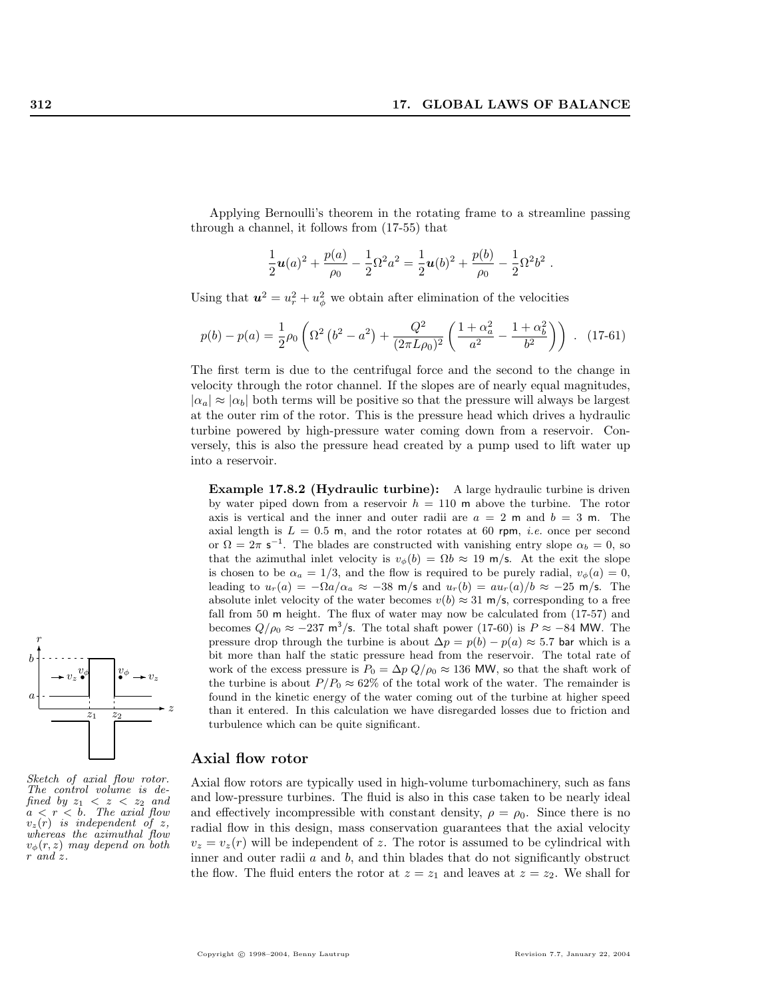Applying Bernoulli's theorem in the rotating frame to a streamline passing through a channel, it follows from (17-55) that

$$
\frac{1}{2}\mathbf{u}(a)^2 + \frac{p(a)}{\rho_0} - \frac{1}{2}\Omega^2 a^2 = \frac{1}{2}\mathbf{u}(b)^2 + \frac{p(b)}{\rho_0} - \frac{1}{2}\Omega^2 b^2.
$$

Using that  $u^2 = u_r^2 + u_\phi^2$  we obtain after elimination of the velocities

$$
p(b) - p(a) = \frac{1}{2}\rho_0 \left(\Omega^2 \left(b^2 - a^2\right) + \frac{Q^2}{(2\pi L \rho_0)^2} \left(\frac{1 + \alpha_a^2}{a^2} - \frac{1 + \alpha_b^2}{b^2}\right)\right) . \quad (17-61)
$$

The first term is due to the centrifugal force and the second to the change in velocity through the rotor channel. If the slopes are of nearly equal magnitudes,  $|\alpha_a| \approx |\alpha_b|$  both terms will be positive so that the pressure will always be largest at the outer rim of the rotor. This is the pressure head which drives a hydraulic turbine powered by high-pressure water coming down from a reservoir. Conversely, this is also the pressure head created by a pump used to lift water up into a reservoir.

Example 17.8.2 (Hydraulic turbine): A large hydraulic turbine is driven by water piped down from a reservoir  $h = 110$  m above the turbine. The rotor axis is vertical and the inner and outer radii are  $a = 2$  m and  $b = 3$  m. The axial length is  $L = 0.5$  m, and the rotor rotates at 60 rpm, *i.e.* once per second or  $\Omega = 2\pi$  s<sup>-1</sup>. The blades are constructed with vanishing entry slope  $\alpha_b = 0$ , so that the azimuthal inlet velocity is  $v_{\phi}(b) = \Omega b \approx 19$  m/s. At the exit the slope is chosen to be  $\alpha_a = 1/3$ , and the flow is required to be purely radial,  $v_{\phi}(a) = 0$ , leading to  $u_r(a) = -\Omega a/\alpha_a \approx -38$  m/s and  $u_r(b) = au_r(a)/b \approx -25$  m/s. The absolute inlet velocity of the water becomes  $v(b) \approx 31$  m/s, corresponding to a free fall from 50 m height. The flux of water may now be calculated from (17-57) and becomes  $Q/\rho_0 \approx -237 \text{ m}^3/\text{s}$ . The total shaft power (17-60) is  $P \approx -84 \text{ MW}$ . The pressure drop through the turbine is about  $\Delta p = p(b) - p(a) \approx 5.7$  bar which is a bit more than half the static pressure head from the reservoir. The total rate of work of the excess pressure is  $P_0 = \Delta p Q/\rho_0 \approx 136$  MW, so that the shaft work of the turbine is about  $P/P_0 \approx 62\%$  of the total work of the water. The remainder is found in the kinetic energy of the water coming out of the turbine at higher speed than it entered. In this calculation we have disregarded losses due to friction and turbulence which can be quite significant.

#### Axial flow rotor

Axial flow rotors are typically used in high-volume turbomachinery, such as fans and low-pressure turbines. The fluid is also in this case taken to be nearly ideal and effectively incompressible with constant density,  $\rho = \rho_0$ . Since there is no radial flow in this design, mass conservation guarantees that the axial velocity  $v_z = v_z(r)$  will be independent of z. The rotor is assumed to be cylindrical with inner and outer radii  $a$  and  $b$ , and thin blades that do not significantly obstruct the flow. The fluid enters the rotor at  $z = z_1$  and leaves at  $z = z_2$ . We shall for



Sketch of axial flow rotor. The control volume is defined by  $z_1 < z < z_2$  and  $a < r < b$ . The axial flow  $v_z(r)$  is independent of z, whereas the azimuthal flow  $v_{\phi}(r, z)$  may depend on both r and z.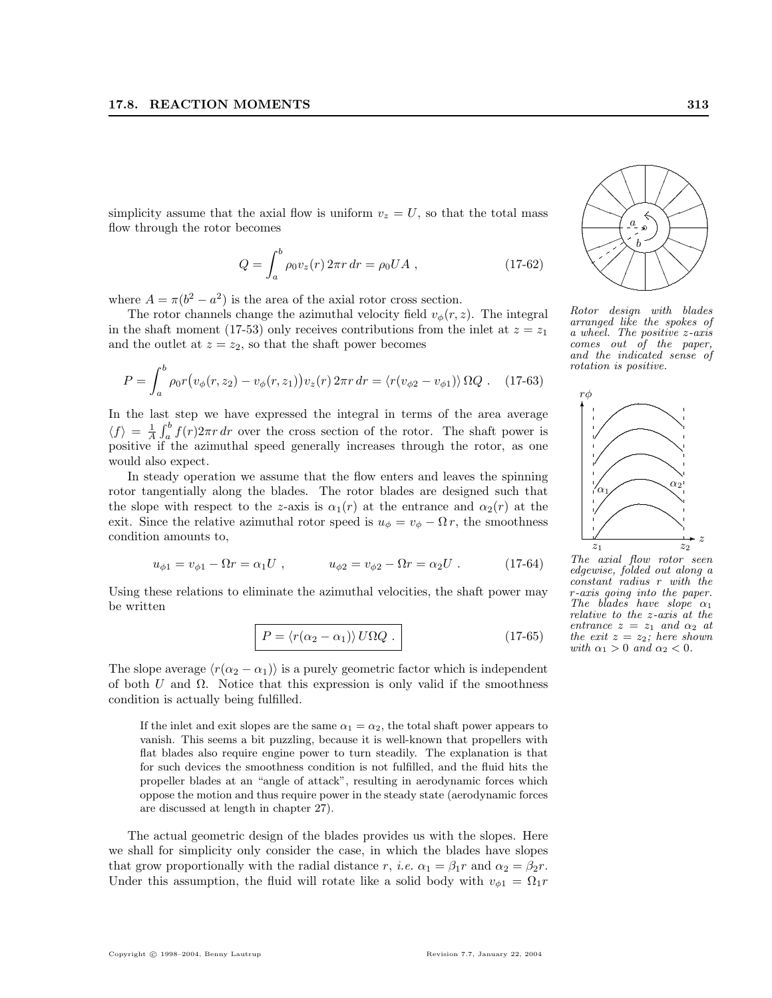simplicity assume that the axial flow is uniform  $v_z = U$ , so that the total mass flow through the rotor becomes

$$
Q = \int_{a}^{b} \rho_0 v_z(r) 2\pi r \, dr = \rho_0 U A , \qquad (17-62)
$$

where  $A = \pi(b^2 - a^2)$  is the area of the axial rotor cross section.

The rotor channels change the azimuthal velocity field  $v_{\phi}(r, z)$ . The integral in the shaft moment (17-53) only receives contributions from the inlet at  $z = z<sub>1</sub>$ and the outlet at  $z = z_2$ , so that the shaft power becomes

$$
P = \int_{a}^{b} \rho_0 r \big( v_{\phi}(r, z_2) - v_{\phi}(r, z_1) \big) v_z(r) \, 2\pi r \, dr = \langle r(v_{\phi 2} - v_{\phi 1}) \rangle \, \Omega Q \, . \quad (17-63)
$$

In the last step we have expressed the integral in terms of the area average  $\langle f \rangle = \frac{1}{A}$  $\frac{\partial \mathbf{b}}{\partial b}$  $\int_a^b f(r)2\pi r dr$  over the cross section of the rotor. The shaft power is positive if the azimuthal speed generally increases through the rotor, as one would also expect.

In steady operation we assume that the flow enters and leaves the spinning rotor tangentially along the blades. The rotor blades are designed such that the slope with respect to the z-axis is  $\alpha_1(r)$  at the entrance and  $\alpha_2(r)$  at the exit. Since the relative azimuthal rotor speed is  $u_{\phi} = v_{\phi} - \Omega r$ , the smoothness condition amounts to,

$$
u_{\phi 1} = v_{\phi 1} - \Omega r = \alpha_1 U , \qquad \qquad u_{\phi 2} = v_{\phi 2} - \Omega r = \alpha_2 U . \qquad (17-64)
$$

Using these relations to eliminate the azimuthal velocities, the shaft power may be written

$$
P = \langle r(\alpha_2 - \alpha_1) \rangle U \Omega Q . \qquad (17-65)
$$

The slope average  $\langle r(\alpha_2 - \alpha_1) \rangle$  is a purely geometric factor which is independent of both U and  $\Omega$ . Notice that this expression is only valid if the smoothness condition is actually being fulfilled.

If the inlet and exit slopes are the same  $\alpha_1 = \alpha_2$ , the total shaft power appears to vanish. This seems a bit puzzling, because it is well-known that propellers with flat blades also require engine power to turn steadily. The explanation is that for such devices the smoothness condition is not fulfilled, and the fluid hits the propeller blades at an "angle of attack", resulting in aerodynamic forces which oppose the motion and thus require power in the steady state (aerodynamic forces are discussed at length in chapter 27).

The actual geometric design of the blades provides us with the slopes. Here we shall for simplicity only consider the case, in which the blades have slopes that grow proportionally with the radial distance r, *i.e.*  $\alpha_1 = \beta_1 r$  and  $\alpha_2 = \beta_2 r$ . Under this assumption, the fluid will rotate like a solid body with  $v_{\phi1} = \Omega_1 r$ 

...) } ........................ . . .................................................................... ❅❅❅  $\bigg\{$ ❛❛❛ ✦✦ ✦  $/$  $/$ ☞ ▲ ▲ ▲ ............ a b

..... ................... . .

 $\zeta$  $\overline{\leftarrow}$ 

▲ ▲ ▲

\  $\diagup$  $\searrow$  )  $\swarrow$ 

❛❛  $\searrow$ 





The axial flow rotor seen edgewise, folded out along a constant radius r with the r-axis going into the paper. The blades have slope  $\alpha_1$ relative to the z-axis at the entrance  $z = z_1$  and  $\alpha_2$  at the exit  $z = z_2$ ; here shown with  $\alpha_1 > 0$  and  $\alpha_2 < 0$ .

.. ... ..... ...... ........ ............................ ...... ..... ... ... ..

> $\diagup$ ¡ ¡

☞  $/$ 

✦✦✦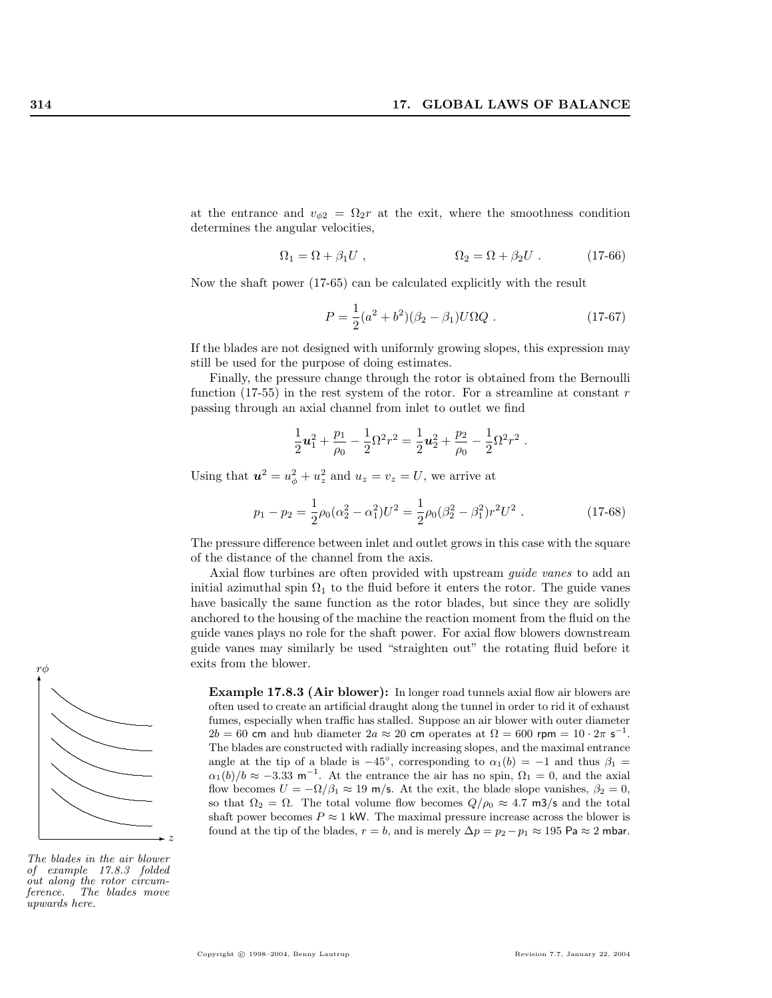at the entrance and  $v_{\phi 2} = \Omega_2 r$  at the exit, where the smoothness condition determines the angular velocities,

$$
\Omega_1 = \Omega + \beta_1 U , \qquad \qquad \Omega_2 = \Omega + \beta_2 U . \qquad (17-66)
$$

Now the shaft power (17-65) can be calculated explicitly with the result

$$
P = \frac{1}{2}(a^2 + b^2)(\beta_2 - \beta_1)U\Omega Q \ . \tag{17-67}
$$

If the blades are not designed with uniformly growing slopes, this expression may still be used for the purpose of doing estimates.

Finally, the pressure change through the rotor is obtained from the Bernoulli function (17-55) in the rest system of the rotor. For a streamline at constant  $r$ passing through an axial channel from inlet to outlet we find

$$
\frac{1}{2}\textbf{u}_1^2+\frac{p_1}{\rho_0}-\frac{1}{2}\Omega^2r^2=\frac{1}{2}\textbf{u}_2^2+\frac{p_2}{\rho_0}-\frac{1}{2}\Omega^2r^2\ .
$$

Using that  $u^2 = u_{\phi}^2 + u_z^2$  and  $u_z = v_z = U$ , we arrive at

$$
p_1 - p_2 = \frac{1}{2}\rho_0(\alpha_2^2 - \alpha_1^2)U^2 = \frac{1}{2}\rho_0(\beta_2^2 - \beta_1^2)r^2U^2.
$$
 (17-68)

The pressure difference between inlet and outlet grows in this case with the square of the distance of the channel from the axis.

Axial flow turbines are often provided with upstream *guide vanes* to add an initial azimuthal spin  $\Omega_1$  to the fluid before it enters the rotor. The guide vanes have basically the same function as the rotor blades, but since they are solidly anchored to the housing of the machine the reaction moment from the fluid on the guide vanes plays no role for the shaft power. For axial flow blowers downstream guide vanes may similarly be used "straighten out" the rotating fluid before it exits from the blower.

Example 17.8.3 (Air blower): In longer road tunnels axial flow air blowers are often used to create an artificial draught along the tunnel in order to rid it of exhaust fumes, especially when traffic has stalled. Suppose an air blower with outer diameter  $2b = 60$  cm and hub diameter  $2a \approx 20$  cm operates at  $\Omega = 600$  rpm =  $10 \cdot 2\pi$  s<sup>-1</sup>. The blades are constructed with radially increasing slopes, and the maximal entrance angle at the tip of a blade is  $-45^{\circ}$ , corresponding to  $\alpha_1(b) = -1$  and thus  $\beta_1 =$  $\alpha_1(b)/b \approx -3.33 \text{ m}^{-1}$ . At the entrance the air has no spin,  $\Omega_1 = 0$ , and the axial flow becomes  $U = -\Omega/\beta_1 \approx 19$  m/s. At the exit, the blade slope vanishes,  $\beta_2 = 0$ , so that  $\Omega_2 = \Omega$ . The total volume flow becomes  $Q/\rho_0 \approx 4.7 \text{ m3/s}$  and the total shaft power becomes  $P \approx 1$  kW. The maximal pressure increase across the blower is found at the tip of the blades,  $r = b$ , and is merely  $\Delta p = p_2 - p_1 \approx 195$  Pa  $\approx 2$  mbar.



The blades in the air blower of example 17.8.3 folded out along the rotor circum-<br>ference. The blades move The blades move upwards here.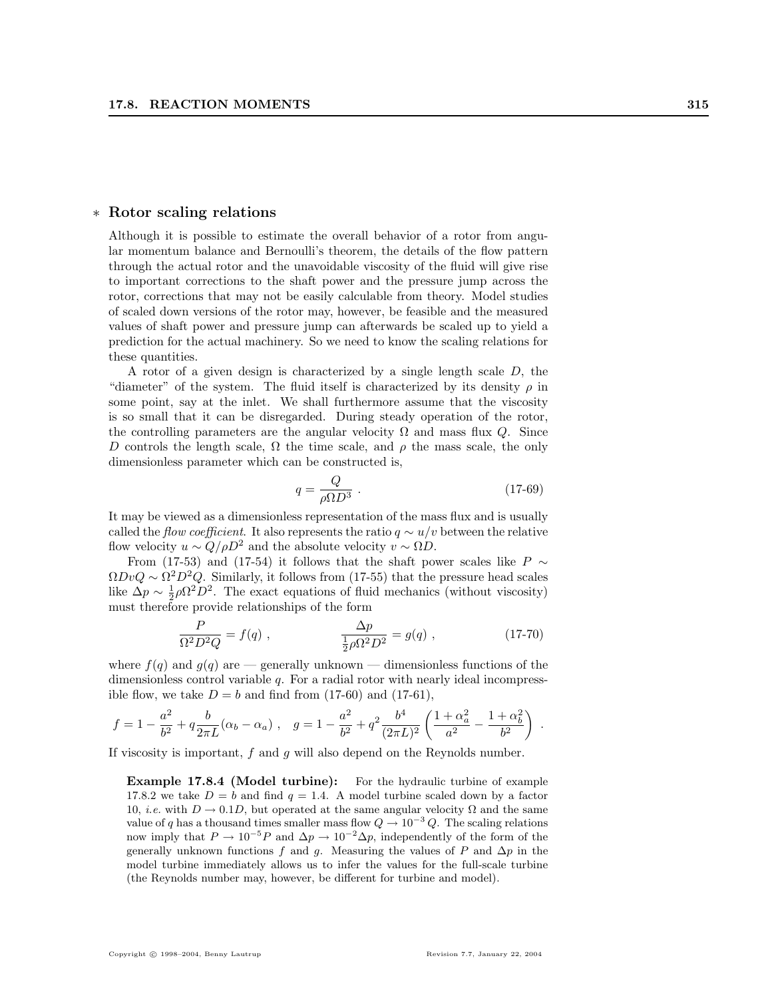#### ∗ Rotor scaling relations

Although it is possible to estimate the overall behavior of a rotor from angular momentum balance and Bernoulli's theorem, the details of the flow pattern through the actual rotor and the unavoidable viscosity of the fluid will give rise to important corrections to the shaft power and the pressure jump across the rotor, corrections that may not be easily calculable from theory. Model studies of scaled down versions of the rotor may, however, be feasible and the measured values of shaft power and pressure jump can afterwards be scaled up to yield a prediction for the actual machinery. So we need to know the scaling relations for these quantities.

A rotor of a given design is characterized by a single length scale D, the "diameter" of the system. The fluid itself is characterized by its density  $\rho$  in some point, say at the inlet. We shall furthermore assume that the viscosity is so small that it can be disregarded. During steady operation of the rotor, the controlling parameters are the angular velocity  $\Omega$  and mass flux Q. Since D controls the length scale,  $\Omega$  the time scale, and  $\rho$  the mass scale, the only dimensionless parameter which can be constructed is,

$$
q = \frac{Q}{\rho \Omega D^3} \tag{17-69}
$$

It may be viewed as a dimensionless representation of the mass flux and is usually called the flow coefficient. It also represents the ratio  $q \sim u/v$  between the relative flow velocity  $u \sim Q/\rho D^2$  and the absolute velocity  $v \sim \Omega D$ .

From (17-53) and (17-54) it follows that the shaft power scales like P  $\sim$  $\Omega DvQ \sim \Omega^2 D^2 Q$ . Similarly, it follows from (17-55) that the pressure head scales like  $\Delta p \sim \frac{1}{2}\rho \Omega^2 D^2$ . The exact equations of fluid mechanics (without viscosity) must therefore provide relationships of the form

$$
\frac{P}{\Omega^2 D^2 Q} = f(q) , \qquad \frac{\Delta p}{\frac{1}{2}\rho \Omega^2 D^2} = g(q) , \qquad (17-70)
$$

where  $f(q)$  and  $g(q)$  are — generally unknown — dimensionless functions of the dimensionless control variable q. For a radial rotor with nearly ideal incompressible flow, we take  $D = b$  and find from (17-60) and (17-61),

$$
f = 1 - \frac{a^2}{b^2} + q \frac{b}{2\pi L} (\alpha_b - \alpha_a) , \quad g = 1 - \frac{a^2}{b^2} + q^2 \frac{b^4}{(2\pi L)^2} \left( \frac{1 + \alpha_a^2}{a^2} - \frac{1 + \alpha_b^2}{b^2} \right) .
$$

If viscosity is important,  $f$  and  $g$  will also depend on the Reynolds number.

Example 17.8.4 (Model turbine): For the hydraulic turbine of example 17.8.2 we take  $D = b$  and find  $q = 1.4$ . A model turbine scaled down by a factor 10, *i.e.* with  $D \rightarrow 0.1D$ , but operated at the same angular velocity  $\Omega$  and the same value of q has a thousand times smaller mass flow  $Q \to 10^{-3} Q$ . The scaling relations now imply that  $P \to 10^{-5}P$  and  $\Delta p \to 10^{-2}\Delta p$ , independently of the form of the generally unknown functions f and g. Measuring the values of P and  $\Delta p$  in the model turbine immediately allows us to infer the values for the full-scale turbine (the Reynolds number may, however, be different for turbine and model).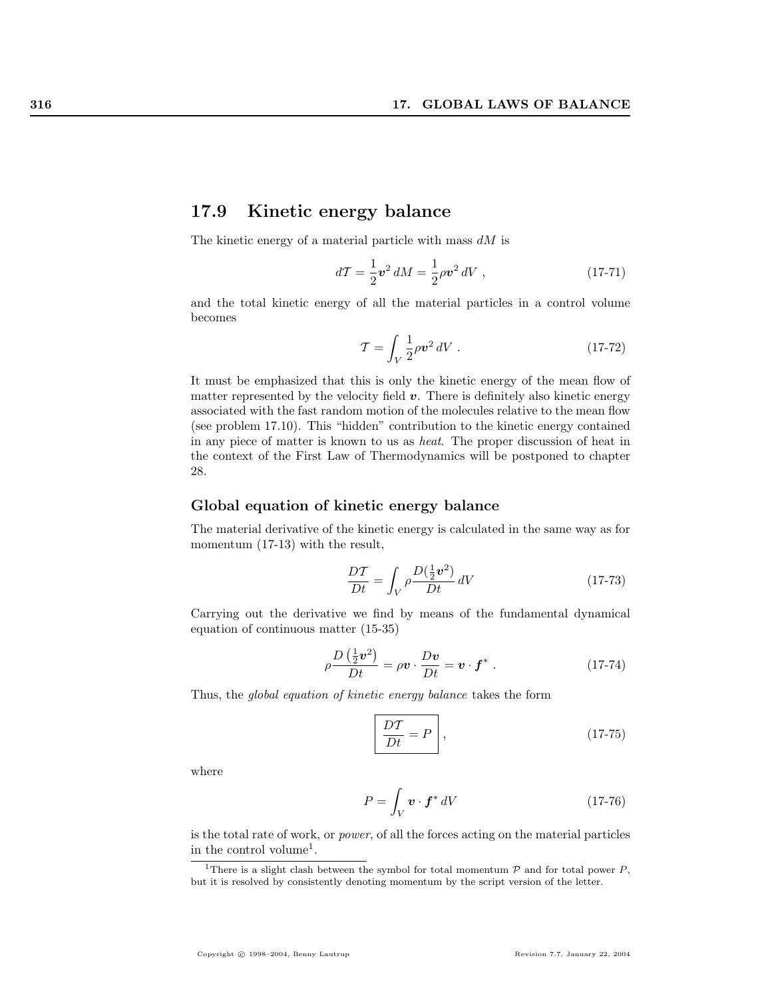# 17.9 Kinetic energy balance

The kinetic energy of a material particle with mass  $dM$  is

$$
d\mathcal{T} = \frac{1}{2} \mathbf{v}^2 dM = \frac{1}{2} \rho \mathbf{v}^2 dV , \qquad (17-71)
$$

and the total kinetic energy of all the material particles in a control volume becomes

$$
\mathcal{T} = \int_V \frac{1}{2} \rho v^2 \, dV \tag{17-72}
$$

It must be emphasized that this is only the kinetic energy of the mean flow of matter represented by the velocity field  $v$ . There is definitely also kinetic energy associated with the fast random motion of the molecules relative to the mean flow (see problem 17.10). This "hidden" contribution to the kinetic energy contained in any piece of matter is known to us as heat. The proper discussion of heat in the context of the First Law of Thermodynamics will be postponed to chapter 28.

## Global equation of kinetic energy balance

The material derivative of the kinetic energy is calculated in the same way as for momentum (17-13) with the result,

$$
\frac{DT}{Dt} = \int_{V} \rho \frac{D(\frac{1}{2}v^2)}{Dt} \, dV \tag{17-73}
$$

Carrying out the derivative we find by means of the fundamental dynamical equation of continuous matter (15-35)

$$
\rho \frac{D\left(\frac{1}{2}\boldsymbol{v}^2\right)}{Dt} = \rho \boldsymbol{v} \cdot \frac{D\boldsymbol{v}}{Dt} = \boldsymbol{v} \cdot \boldsymbol{f}^* \ . \tag{17-74}
$$

Thus, the global equation of kinetic energy balance takes the form

$$
\frac{DT}{Dt} = P \qquad , \tag{17-75}
$$

where

$$
P = \int_{V} \mathbf{v} \cdot \mathbf{f}^* dV \tag{17-76}
$$

is the total rate of work, or power, of all the forces acting on the material particles in the control volume<sup>1</sup>.

<sup>&</sup>lt;sup>1</sup>There is a slight clash between the symbol for total momentum  $P$  and for total power P, but it is resolved by consistently denoting momentum by the script version of the letter.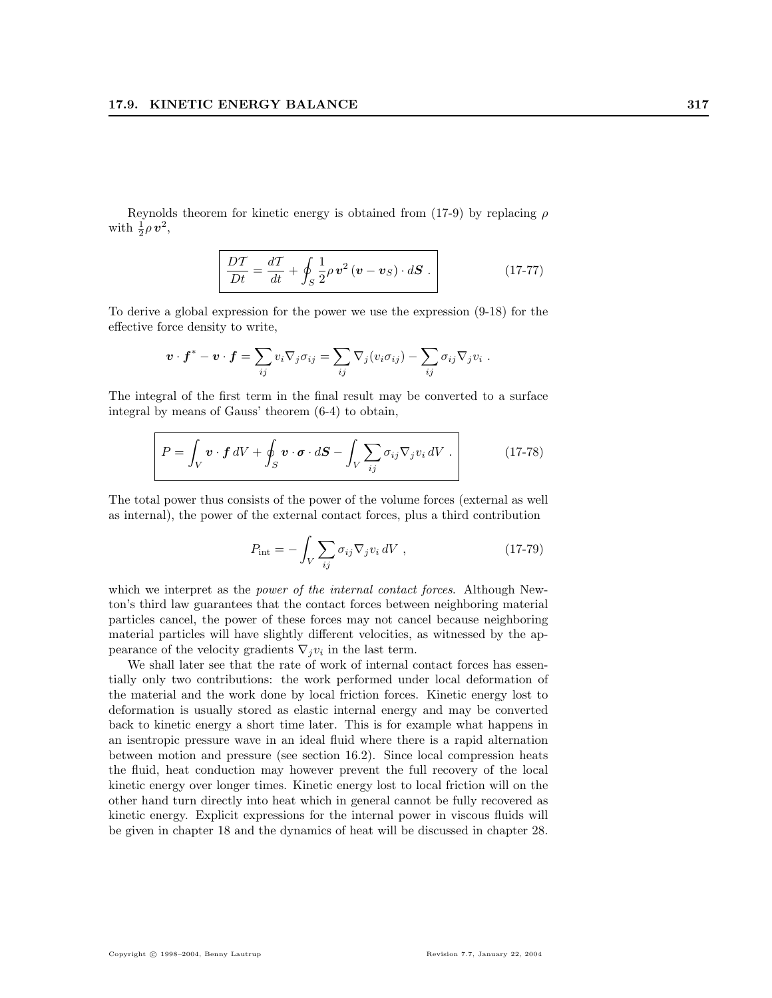Reynolds theorem for kinetic energy is obtained from (17-9) by replacing  $\rho$ with  $\frac{1}{2}\rho v^2$ ,

$$
\overline{DT} = \frac{dT}{dt} + \oint_{S} \frac{1}{2} \rho \, \mathbf{v}^2 \left( \mathbf{v} - \mathbf{v}_S \right) \cdot d\mathbf{S} \ . \tag{17-77}
$$

To derive a global expression for the power we use the expression (9-18) for the effective force density to write,

$$
\boldsymbol{v} \cdot \boldsymbol{f}^* - \boldsymbol{v} \cdot \boldsymbol{f} = \sum_{ij} v_i \nabla_j \sigma_{ij} = \sum_{ij} \nabla_j (v_i \sigma_{ij}) - \sum_{ij} \sigma_{ij} \nabla_j v_i.
$$

The integral of the first term in the final result may be converted to a surface integral by means of Gauss' theorem (6-4) to obtain,

$$
P = \int_{V} \boldsymbol{v} \cdot \boldsymbol{f} \, dV + \oint_{S} \boldsymbol{v} \cdot \boldsymbol{\sigma} \cdot d\boldsymbol{S} - \int_{V} \sum_{ij} \sigma_{ij} \nabla_{j} v_{i} \, dV \ . \tag{17-78}
$$

The total power thus consists of the power of the volume forces (external as well as internal), the power of the external contact forces, plus a third contribution

$$
P_{\rm int} = -\int_{V} \sum_{ij} \sigma_{ij} \nabla_j v_i \, dV \tag{17-79}
$$

which we interpret as the *power of the internal contact forces*. Although Newton's third law guarantees that the contact forces between neighboring material particles cancel, the power of these forces may not cancel because neighboring material particles will have slightly different velocities, as witnessed by the appearance of the velocity gradients  $\nabla_j v_i$  in the last term.

We shall later see that the rate of work of internal contact forces has essentially only two contributions: the work performed under local deformation of the material and the work done by local friction forces. Kinetic energy lost to deformation is usually stored as elastic internal energy and may be converted back to kinetic energy a short time later. This is for example what happens in an isentropic pressure wave in an ideal fluid where there is a rapid alternation between motion and pressure (see section 16.2). Since local compression heats the fluid, heat conduction may however prevent the full recovery of the local kinetic energy over longer times. Kinetic energy lost to local friction will on the other hand turn directly into heat which in general cannot be fully recovered as kinetic energy. Explicit expressions for the internal power in viscous fluids will be given in chapter 18 and the dynamics of heat will be discussed in chapter 28.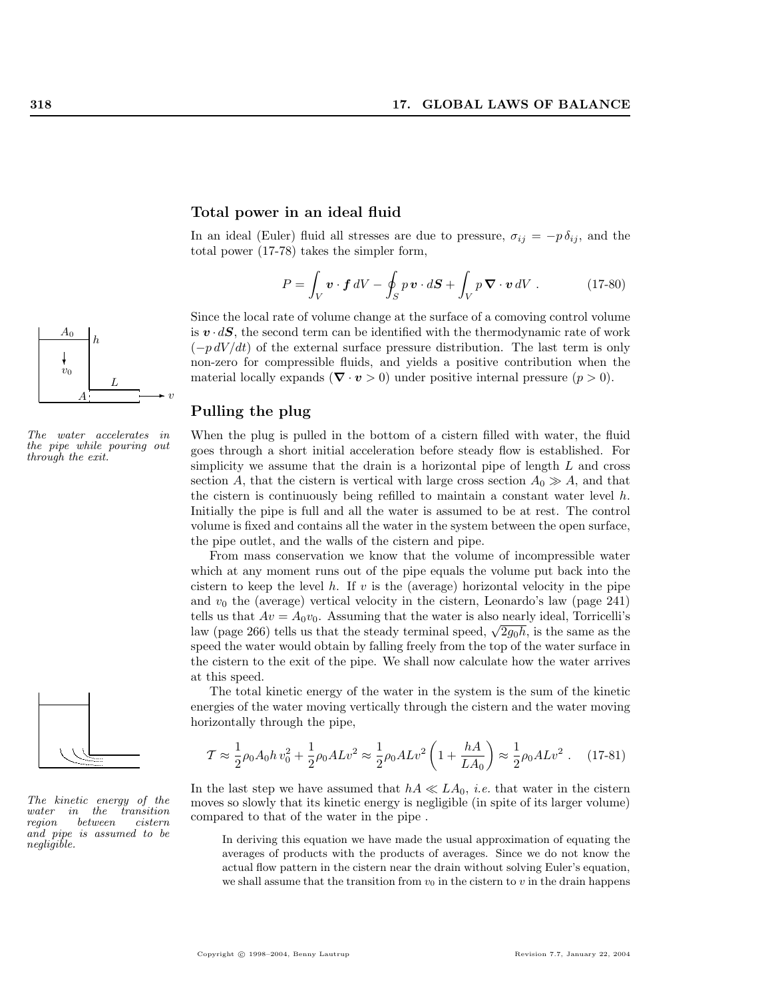

The water accelerates in the pipe while pouring out through the exit.



The kinetic energy of the<br>water in the transition water in the transition<br>region between cistern  $between$ and pipe is assumed to be negligible.

#### Total power in an ideal fluid

In an ideal (Euler) fluid all stresses are due to pressure,  $\sigma_{ij} = -p \delta_{ij}$ , and the total power (17-78) takes the simpler form,

$$
P = \int_{V} \mathbf{v} \cdot \mathbf{f} \, dV - \oint_{S} p \, \mathbf{v} \cdot d\mathbf{S} + \int_{V} p \, \mathbf{\nabla} \cdot \mathbf{v} \, dV \,. \tag{17-80}
$$

Since the local rate of volume change at the surface of a comoving control volume is  $\mathbf{v} \cdot d\mathbf{S}$ , the second term can be identified with the thermodynamic rate of work  $(-p dV/dt)$  of the external surface pressure distribution. The last term is only non-zero for compressible fluids, and yields a positive contribution when the material locally expands ( $\nabla \cdot \mathbf{v} > 0$ ) under positive internal pressure ( $p > 0$ ).

## Pulling the plug

When the plug is pulled in the bottom of a cistern filled with water, the fluid goes through a short initial acceleration before steady flow is established. For simplicity we assume that the drain is a horizontal pipe of length  $L$  and cross section A, that the cistern is vertical with large cross section  $A_0 \gg A$ , and that the cistern is continuously being refilled to maintain a constant water level  $h$ . Initially the pipe is full and all the water is assumed to be at rest. The control volume is fixed and contains all the water in the system between the open surface, the pipe outlet, and the walls of the cistern and pipe.

From mass conservation we know that the volume of incompressible water which at any moment runs out of the pipe equals the volume put back into the cistern to keep the level  $h$ . If  $v$  is the (average) horizontal velocity in the pipe and  $v_0$  the (average) vertical velocity in the cistern, Leonardo's law (page 241) tells us that  $Av = A_0v_0$ . Assuming that the water is also nearly ideal, Torricelli's lens us that  $Av = A_0v_0$ . Assuming that the water is also hearly ideal, forricem s<br>law (page 266) tells us that the steady terminal speed,  $\sqrt{2g_0h}$ , is the same as the speed the water would obtain by falling freely from the top of the water surface in the cistern to the exit of the pipe. We shall now calculate how the water arrives at this speed.

The total kinetic energy of the water in the system is the sum of the kinetic energies of the water moving vertically through the cistern and the water moving horizontally through the pipe,

$$
\mathcal{T} \approx \frac{1}{2}\rho_0 A_0 h v_0^2 + \frac{1}{2}\rho_0 A L v^2 \approx \frac{1}{2}\rho_0 A L v^2 \left(1 + \frac{hA}{LA_0}\right) \approx \frac{1}{2}\rho_0 A L v^2 \,. \tag{17-81}
$$

In the last step we have assumed that  $hA \ll LA_0$ , *i.e.* that water in the cistern moves so slowly that its kinetic energy is negligible (in spite of its larger volume) compared to that of the water in the pipe .

In deriving this equation we have made the usual approximation of equating the averages of products with the products of averages. Since we do not know the actual flow pattern in the cistern near the drain without solving Euler's equation, we shall assume that the transition from  $v_0$  in the cistern to v in the drain happens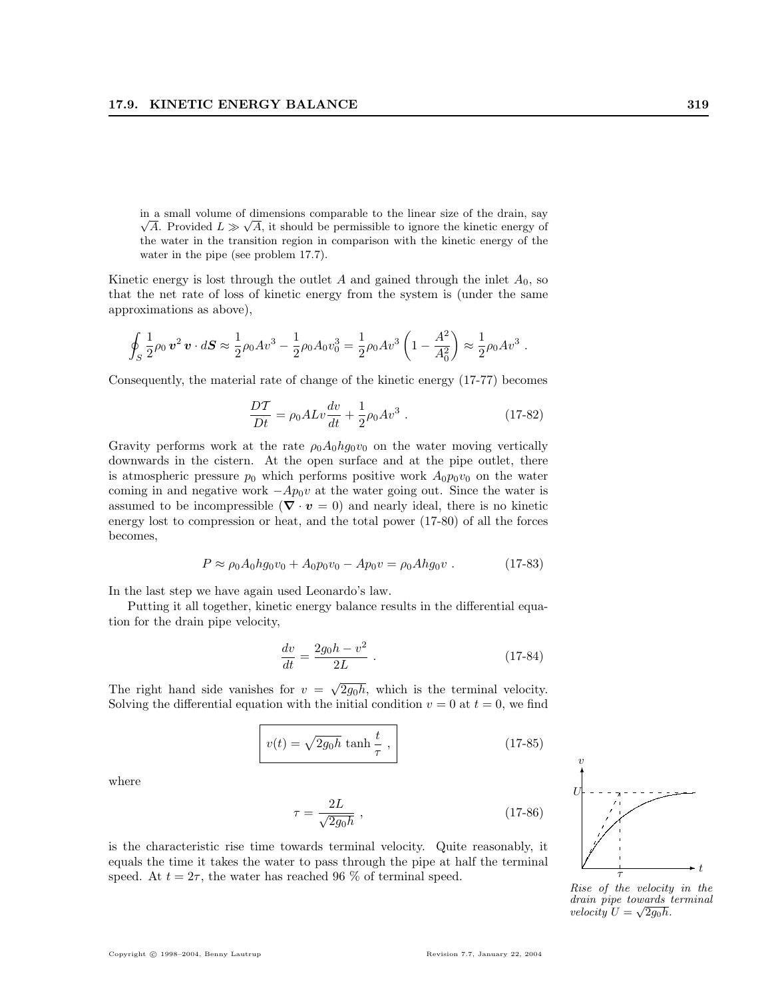in a small volume of dimensions comparable to the linear size of the drain, say A. Provided  $L \gg \sqrt{A}$ , it should be permissible to ignore the kinetic energy of the water in the transition region in comparison with the kinetic energy of the water in the pipe (see problem 17.7).

Kinetic energy is lost through the outlet  $A$  and gained through the inlet  $A_0$ , so that the net rate of loss of kinetic energy from the system is (under the same approximations as above),

$$
\oint_S \frac{1}{2} \rho_0 \, \mathbf{v}^2 \, \mathbf{v} \cdot d\mathbf{S} \approx \frac{1}{2} \rho_0 A v^3 - \frac{1}{2} \rho_0 A_0 v_0^3 = \frac{1}{2} \rho_0 A v^3 \left( 1 - \frac{A^2}{A_0^2} \right) \approx \frac{1}{2} \rho_0 A v^3.
$$

Consequently, the material rate of change of the kinetic energy (17-77) becomes

$$
\frac{DT}{Dt} = \rho_0 A L v \frac{dv}{dt} + \frac{1}{2} \rho_0 A v^3 \ . \tag{17-82}
$$

Gravity performs work at the rate  $\rho_0 A_0 h g_0 v_0$  on the water moving vertically downwards in the cistern. At the open surface and at the pipe outlet, there is atmospheric pressure  $p_0$  which performs positive work  $A_0p_0v_0$  on the water coming in and negative work  $-Ap_0v$  at the water going out. Since the water is assumed to be incompressible ( $\nabla \cdot \mathbf{v} = 0$ ) and nearly ideal, there is no kinetic energy lost to compression or heat, and the total power (17-80) of all the forces becomes,

$$
P \approx \rho_0 A_0 h g_0 v_0 + A_0 p_0 v_0 - A p_0 v = \rho_0 A h g_0 v \tag{17-83}
$$

In the last step we have again used Leonardo's law.

Putting it all together, kinetic energy balance results in the differential equation for the drain pipe velocity,

$$
\frac{dv}{dt} = \frac{2g_0h - v^2}{2L} \tag{17-84}
$$

The right hand side vanishes for  $v = \sqrt{2g_0h}$ , which is the terminal velocity. Solving the differential equation with the initial condition  $v = 0$  at  $t = 0$ , we find

$$
v(t) = \sqrt{2g_0h} \tanh\frac{t}{\tau},
$$
\n(17-85)

where

$$
\tau = \frac{2L}{\sqrt{2g_0h}} \tag{17-86}
$$

is the characteristic rise time towards terminal velocity. Quite reasonably, it equals the time it takes the water to pass through the pipe at half the terminal speed. At  $t = 2\tau$ , the water has reached 96 % of terminal speed.



Rise of the velocity in the drain pipe towards terminal velocity  $U = \sqrt{2g_0h}$ .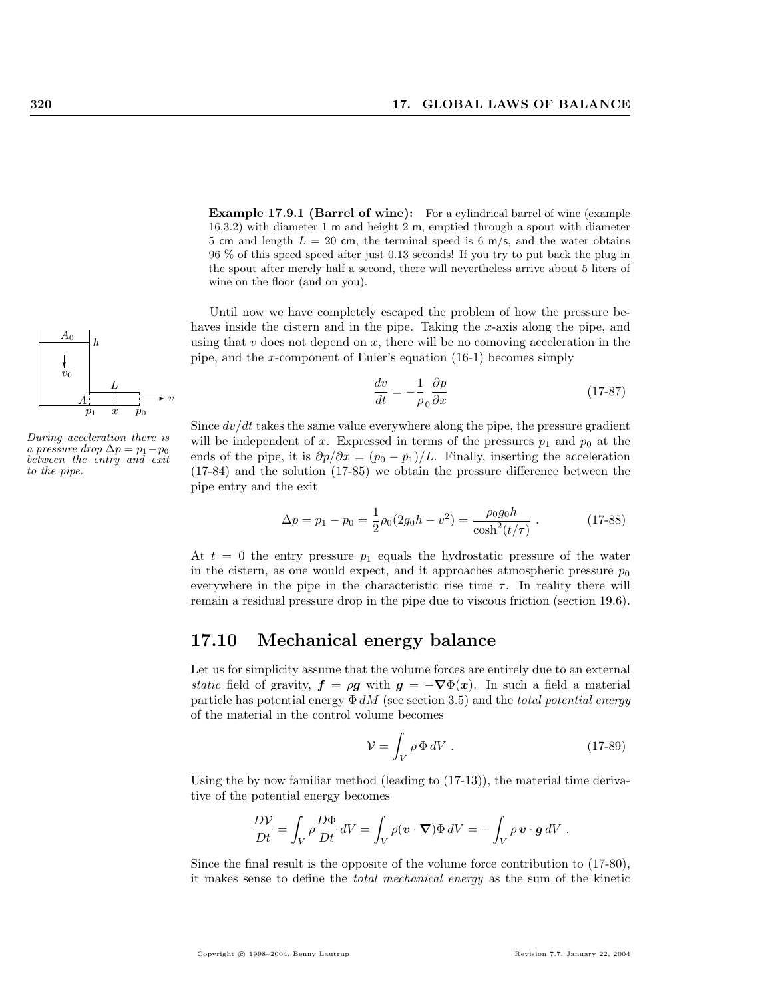Example 17.9.1 (Barrel of wine): For a cylindrical barrel of wine (example 16.3.2) with diameter 1 m and height 2 m, emptied through a spout with diameter 5 cm and length  $L = 20$  cm, the terminal speed is 6 m/s, and the water obtains 96 % of this speed speed after just 0.13 seconds! If you try to put back the plug in the spout after merely half a second, there will nevertheless arrive about 5 liters of wine on the floor (and on you).

Until now we have completely escaped the problem of how the pressure behaves inside the cistern and in the pipe. Taking the  $x$ -axis along the pipe, and using that  $v$  does not depend on  $x$ , there will be no comoving acceleration in the pipe, and the x-component of Euler's equation (16-1) becomes simply

$$
\frac{dv}{dt} = -\frac{1}{\rho_0} \frac{\partial p}{\partial x} \tag{17-87}
$$

Since  $dv/dt$  takes the same value everywhere along the pipe, the pressure gradient will be independent of x. Expressed in terms of the pressures  $p_1$  and  $p_0$  at the ends of the pipe, it is  $\partial p/\partial x = (p_0 - p_1)/L$ . Finally, inserting the acceleration (17-84) and the solution (17-85) we obtain the pressure difference between the pipe entry and the exit

$$
\Delta p = p_1 - p_0 = \frac{1}{2}\rho_0(2g_0h - v^2) = \frac{\rho_0 g_0 h}{\cosh^2(t/\tau)}.
$$
 (17-88)

At  $t = 0$  the entry pressure  $p_1$  equals the hydrostatic pressure of the water in the cistern, as one would expect, and it approaches atmospheric pressure  $p_0$ everywhere in the pipe in the characteristic rise time  $\tau$ . In reality there will remain a residual pressure drop in the pipe due to viscous friction (section 19.6).

# 17.10 Mechanical energy balance

Let us for simplicity assume that the volume forces are entirely due to an external static field of gravity,  $\mathbf{f} = \rho \mathbf{g}$  with  $\mathbf{g} = -\nabla \Phi(\mathbf{x})$ . In such a field a material particle has potential energy  $\Phi$  dM (see section 3.5) and the total potential energy of the material in the control volume becomes

$$
\mathcal{V} = \int_{V} \rho \, \Phi \, dV \tag{17-89}
$$

Using the by now familiar method (leading to  $(17-13)$ ), the material time derivative of the potential energy becomes

$$
\frac{D V}{D t} = \int_V \rho \frac{D \Phi}{D t} dV = \int_V \rho (\mathbf{v} \cdot \nabla) \Phi dV = - \int_V \rho \mathbf{v} \cdot \mathbf{g} dV.
$$

Since the final result is the opposite of the volume force contribution to (17-80), it makes sense to define the total mechanical energy as the sum of the kinetic



During acceleration there is a pressure drop  $\Delta p = p_1 - p_0$ between the entry and exit to the pipe.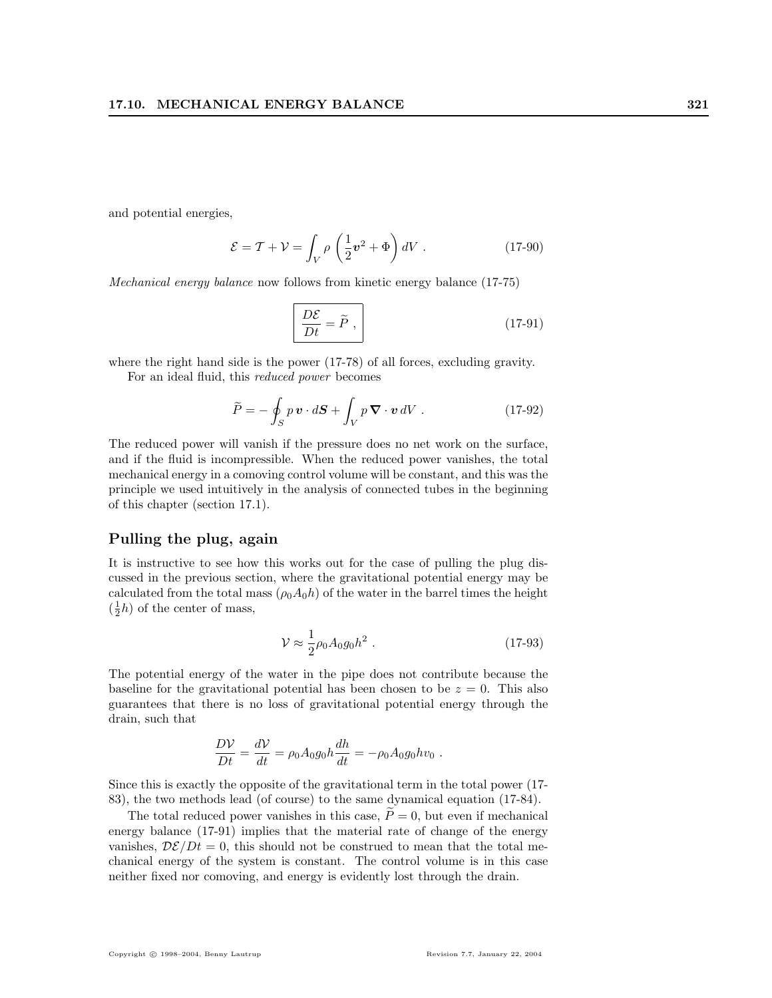and potential energies,

$$
\mathcal{E} = \mathcal{T} + \mathcal{V} = \int_{V} \rho \left(\frac{1}{2}v^2 + \Phi\right) dV \tag{17-90}
$$

Mechanical energy balance now follows from kinetic energy balance (17-75)

$$
\frac{D\mathcal{E}}{Dt} = \widetilde{P},\qquad(17-91)
$$

where the right hand side is the power (17-78) of all forces, excluding gravity.

For an ideal fluid, this reduced power becomes

$$
\widetilde{P} = -\oint_{S} p\,\mathbf{v} \cdot d\mathbf{S} + \int_{V} p\,\mathbf{\nabla} \cdot \mathbf{v} \,dV \ . \tag{17-92}
$$

The reduced power will vanish if the pressure does no net work on the surface, and if the fluid is incompressible. When the reduced power vanishes, the total mechanical energy in a comoving control volume will be constant, and this was the principle we used intuitively in the analysis of connected tubes in the beginning of this chapter (section 17.1).

## Pulling the plug, again

It is instructive to see how this works out for the case of pulling the plug discussed in the previous section, where the gravitational potential energy may be calculated from the total mass  $(\rho_0 A_0 h)$  of the water in the barrel times the height  $(\frac{1}{2}h)$  of the center of mass,

$$
\mathcal{V} \approx \frac{1}{2} \rho_0 A_0 g_0 h^2 \ . \tag{17-93}
$$

The potential energy of the water in the pipe does not contribute because the baseline for the gravitational potential has been chosen to be  $z = 0$ . This also guarantees that there is no loss of gravitational potential energy through the drain, such that

$$
\frac{D\mathcal{V}}{Dt} = \frac{d\mathcal{V}}{dt} = \rho_0 A_0 g_0 h \frac{dh}{dt} = -\rho_0 A_0 g_0 h v_0.
$$

Since this is exactly the opposite of the gravitational term in the total power (17- 83), the two methods lead (of course) to the same dynamical equation (17-84).

The total reduced power vanishes in this case,  $\widetilde{P}=0$ , but even if mechanical energy balance (17-91) implies that the material rate of change of the energy vanishes,  $\mathcal{D}\mathcal{E}/Dt = 0$ , this should not be construed to mean that the total mechanical energy of the system is constant. The control volume is in this case neither fixed nor comoving, and energy is evidently lost through the drain.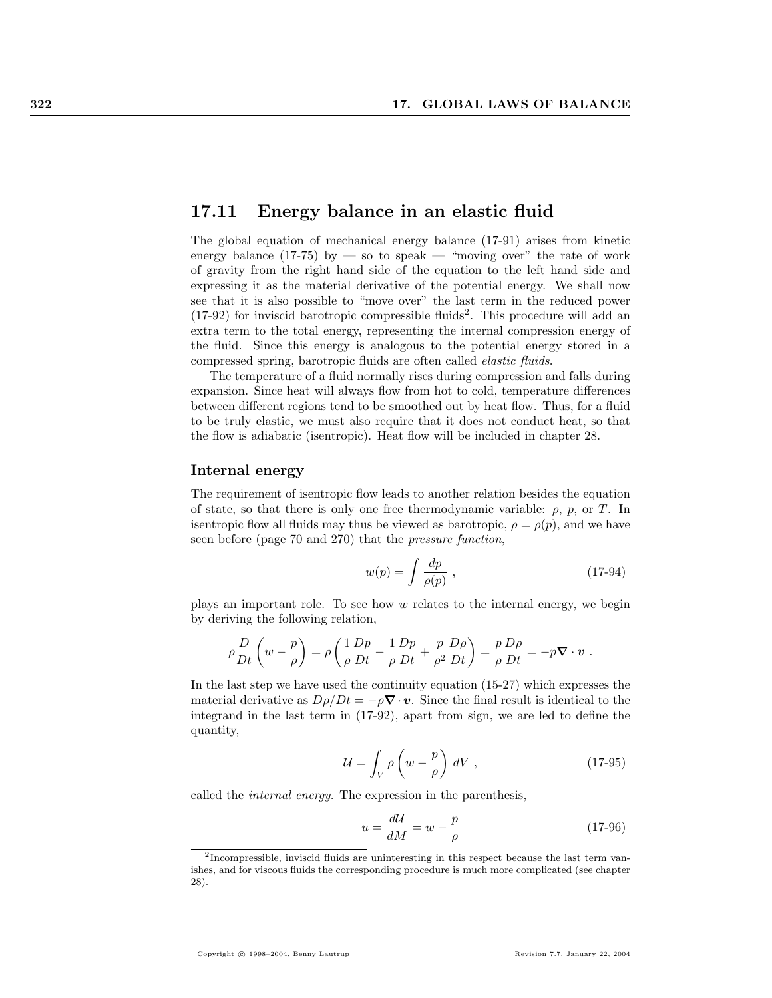## 17.11 Energy balance in an elastic fluid

The global equation of mechanical energy balance (17-91) arises from kinetic energy balance (17-75) by — so to speak — "moving over" the rate of work of gravity from the right hand side of the equation to the left hand side and expressing it as the material derivative of the potential energy. We shall now see that it is also possible to "move over" the last term in the reduced power  $(17-92)$  for inviscid barotropic compressible fluids<sup>2</sup>. This procedure will add an extra term to the total energy, representing the internal compression energy of the fluid. Since this energy is analogous to the potential energy stored in a compressed spring, barotropic fluids are often called elastic fluids.

The temperature of a fluid normally rises during compression and falls during expansion. Since heat will always flow from hot to cold, temperature differences between different regions tend to be smoothed out by heat flow. Thus, for a fluid to be truly elastic, we must also require that it does not conduct heat, so that the flow is adiabatic (isentropic). Heat flow will be included in chapter 28.

## Internal energy

The requirement of isentropic flow leads to another relation besides the equation of state, so that there is only one free thermodynamic variable:  $\rho$ ,  $p$ , or T. In is entropic flow all fluids may thus be viewed as barotropic,  $\rho = \rho(p)$ , and we have seen before (page 70 and 270) that the pressure function,

$$
w(p) = \int \frac{dp}{\rho(p)} , \qquad (17-94)
$$

plays an important role. To see how  $w$  relates to the internal energy, we begin by deriving the following relation,

$$
\rho \frac{D}{Dt} \left( w - \frac{p}{\rho} \right) = \rho \left( \frac{1}{\rho} \frac{Dp}{Dt} - \frac{1}{\rho} \frac{Dp}{Dt} + \frac{p}{\rho^2} \frac{D\rho}{Dt} \right) = \frac{p}{\rho} \frac{D\rho}{Dt} = -p \nabla \cdot \mathbf{v} .
$$

In the last step we have used the continuity equation (15-27) which expresses the material derivative as  $D\rho/Dt = -\rho \nabla \cdot v$ . Since the final result is identical to the integrand in the last term in (17-92), apart from sign, we are led to define the quantity,

$$
\mathcal{U} = \int_{V} \rho \left( w - \frac{p}{\rho} \right) dV , \qquad (17-95)
$$

called the internal energy. The expression in the parenthesis,

$$
u = \frac{d\mathcal{U}}{dM} = w - \frac{p}{\rho} \tag{17-96}
$$

<sup>2</sup> Incompressible, inviscid fluids are uninteresting in this respect because the last term vanishes, and for viscous fluids the corresponding procedure is much more complicated (see chapter 28).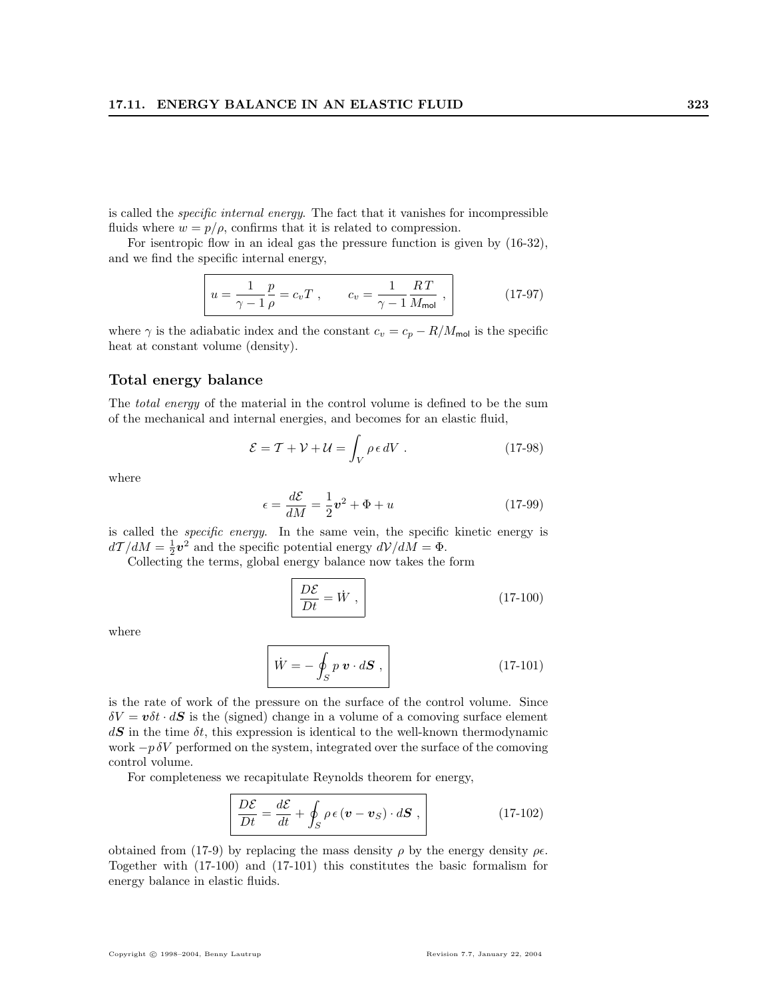is called the specific internal energy. The fact that it vanishes for incompressible fluids where  $w = p/\rho$ , confirms that it is related to compression.

For isentropic flow in an ideal gas the pressure function is given by (16-32), and we find the specific internal energy,

$$
u = \frac{1}{\gamma - 1} \frac{p}{\rho} = c_v T \ , \qquad c_v = \frac{1}{\gamma - 1} \frac{RT}{M_{\text{mol}}} \ , \tag{17-97}
$$

where  $\gamma$  is the adiabatic index and the constant  $c_v = c_p - R/M_{\text{mol}}$  is the specific heat at constant volume (density).

## Total energy balance

The *total energy* of the material in the control volume is defined to be the sum of the mechanical and internal energies, and becomes for an elastic fluid,

$$
\mathcal{E} = \mathcal{T} + \mathcal{V} + \mathcal{U} = \int_{V} \rho \epsilon \, dV \,. \tag{17-98}
$$

where

$$
\epsilon = \frac{d\mathcal{E}}{dM} = \frac{1}{2}\mathbf{v}^2 + \Phi + u \tag{17-99}
$$

is called the specific energy. In the same vein, the specific kinetic energy is  $d\mathcal{T}/dM = \frac{1}{2}\mathbf{v}^2$  and the specific potential energy  $d\mathcal{V}/dM = \Phi$ .

Collecting the terms, global energy balance now takes the form

$$
\boxed{\frac{D\mathcal{E}}{Dt} = \dot{W},\tag{17-100}
$$

where

$$
\overrightarrow{W} = -\oint_{S} p \mathbf{v} \cdot d\mathbf{S} , \qquad (17-101)
$$

is the rate of work of the pressure on the surface of the control volume. Since  $\delta V = v \delta t \cdot dS$  is the (signed) change in a volume of a comoving surface element  $d\mathbf{S}$  in the time  $\delta t$ , this expression is identical to the well-known thermodynamic work  $-p \delta V$  performed on the system, integrated over the surface of the comoving control volume.

For completeness we recapitulate Reynolds theorem for energy,

$$
\frac{D\mathcal{E}}{Dt} = \frac{d\mathcal{E}}{dt} + \oint_{S} \rho \epsilon (\boldsymbol{v} - \boldsymbol{v}_{S}) \cdot d\boldsymbol{S} , \qquad (17-102)
$$

obtained from (17-9) by replacing the mass density  $\rho$  by the energy density  $\rho \epsilon$ . Together with (17-100) and (17-101) this constitutes the basic formalism for energy balance in elastic fluids.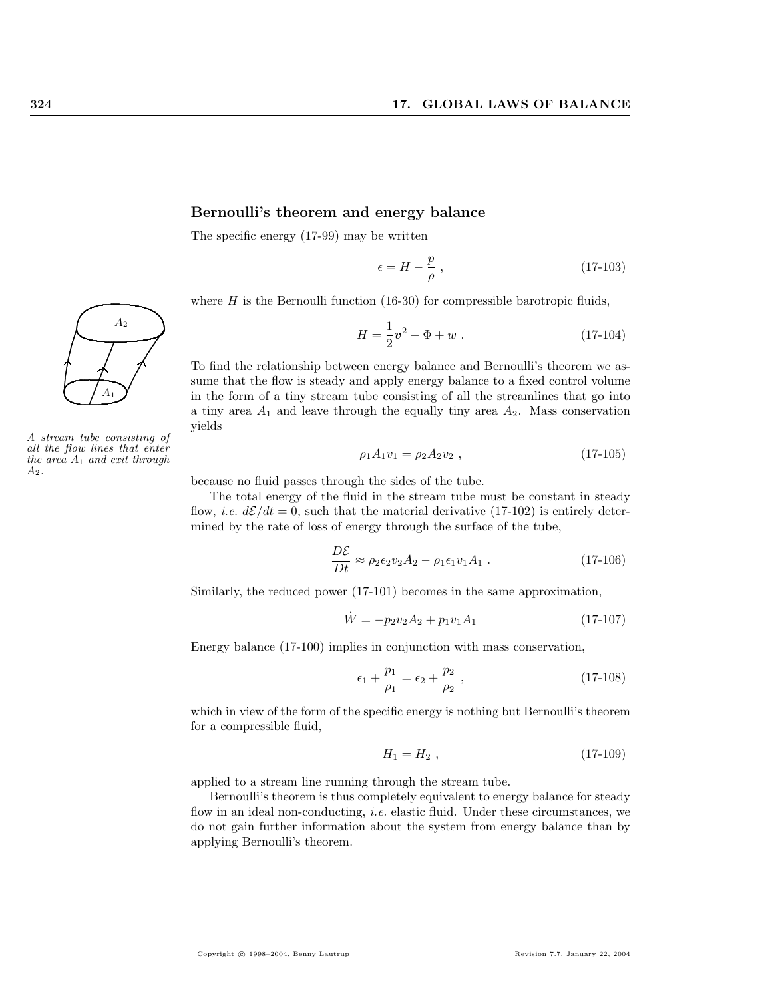## Bernoulli's theorem and energy balance

The specific energy (17-99) may be written

$$
\epsilon = H - \frac{p}{\rho} \;, \tag{17-103}
$$

where  $H$  is the Bernoulli function (16-30) for compressible barotropic fluids,

$$
H = \frac{1}{2}\mathbf{v}^2 + \Phi + w \ . \tag{17-104}
$$

To find the relationship between energy balance and Bernoulli's theorem we assume that the flow is steady and apply energy balance to a fixed control volume in the form of a tiny stream tube consisting of all the streamlines that go into a tiny area  $A_1$  and leave through the equally tiny area  $A_2$ . Mass conservation yields

$$
\rho_1 A_1 v_1 = \rho_2 A_2 v_2 , \qquad (17-105)
$$

because no fluid passes through the sides of the tube.

The total energy of the fluid in the stream tube must be constant in steady flow, *i.e.*  $d\mathcal{E}/dt = 0$ , such that the material derivative (17-102) is entirely determined by the rate of loss of energy through the surface of the tube,

$$
\frac{D\mathcal{E}}{Dt} \approx \rho_2 \epsilon_2 v_2 A_2 - \rho_1 \epsilon_1 v_1 A_1 \,. \tag{17-106}
$$

Similarly, the reduced power (17-101) becomes in the same approximation,

$$
\dot{W} = -p_2 v_2 A_2 + p_1 v_1 A_1 \tag{17-107}
$$

Energy balance (17-100) implies in conjunction with mass conservation,

$$
\epsilon_1 + \frac{p_1}{\rho_1} = \epsilon_2 + \frac{p_2}{\rho_2} \,, \tag{17-108}
$$

which in view of the form of the specific energy is nothing but Bernoulli's theorem for a compressible fluid,

$$
H_1 = H_2 \t{17-109}
$$

applied to a stream line running through the stream tube.

Bernoulli's theorem is thus completely equivalent to energy balance for steady flow in an ideal non-conducting, *i.e.* elastic fluid. Under these circumstances, we do not gain further information about the system from energy balance than by applying Bernoulli's theorem.



A stream tube consisting of all the flow lines that enter the area  $A_1$  and exit through  $A_2$ .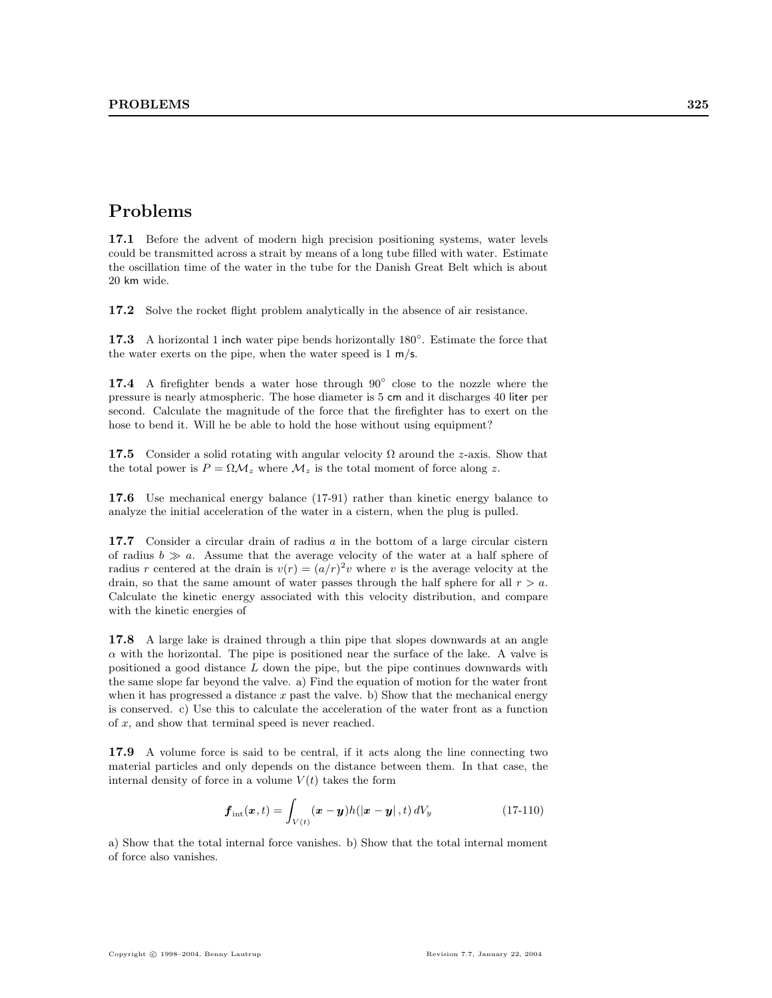# Problems

17.1 Before the advent of modern high precision positioning systems, water levels could be transmitted across a strait by means of a long tube filled with water. Estimate the oscillation time of the water in the tube for the Danish Great Belt which is about 20 km wide.

17.2 Solve the rocket flight problem analytically in the absence of air resistance.

17.3 A horizontal 1 inch water pipe bends horizontally  $180^\circ$ . Estimate the force that the water exerts on the pipe, when the water speed is  $1 \text{ m/s}$ .

17.4 A firefighter bends a water hose through 90° close to the nozzle where the pressure is nearly atmospheric. The hose diameter is 5 cm and it discharges 40 liter per second. Calculate the magnitude of the force that the firefighter has to exert on the hose to bend it. Will he be able to hold the hose without using equipment?

17.5 Consider a solid rotating with angular velocity  $\Omega$  around the z-axis. Show that the total power is  $P = \Omega \mathcal{M}_z$  where  $\mathcal{M}_z$  is the total moment of force along z.

17.6 Use mechanical energy balance (17-91) rather than kinetic energy balance to analyze the initial acceleration of the water in a cistern, when the plug is pulled.

17.7 Consider a circular drain of radius a in the bottom of a large circular cistern of radius  $b \gg a$ . Assume that the average velocity of the water at a half sphere of radius r centered at the drain is  $v(r) = (a/r)^2 v$  where v is the average velocity at the drain, so that the same amount of water passes through the half sphere for all  $r > a$ . Calculate the kinetic energy associated with this velocity distribution, and compare with the kinetic energies of

17.8 A large lake is drained through a thin pipe that slopes downwards at an angle  $\alpha$  with the horizontal. The pipe is positioned near the surface of the lake. A valve is positioned a good distance  $L$  down the pipe, but the pipe continues downwards with the same slope far beyond the valve. a) Find the equation of motion for the water front when it has progressed a distance  $x$  past the valve. b) Show that the mechanical energy is conserved. c) Use this to calculate the acceleration of the water front as a function of x, and show that terminal speed is never reached.

17.9 A volume force is said to be central, if it acts along the line connecting two material particles and only depends on the distance between them. In that case, the internal density of force in a volume  $V(t)$  takes the form

$$
\boldsymbol{f}_{\text{int}}(\boldsymbol{x},t) = \int_{V(t)} (\boldsymbol{x} - \boldsymbol{y}) h(|\boldsymbol{x} - \boldsymbol{y}|,t) dV_{y}
$$
 (17-110)

a) Show that the total internal force vanishes. b) Show that the total internal moment of force also vanishes.